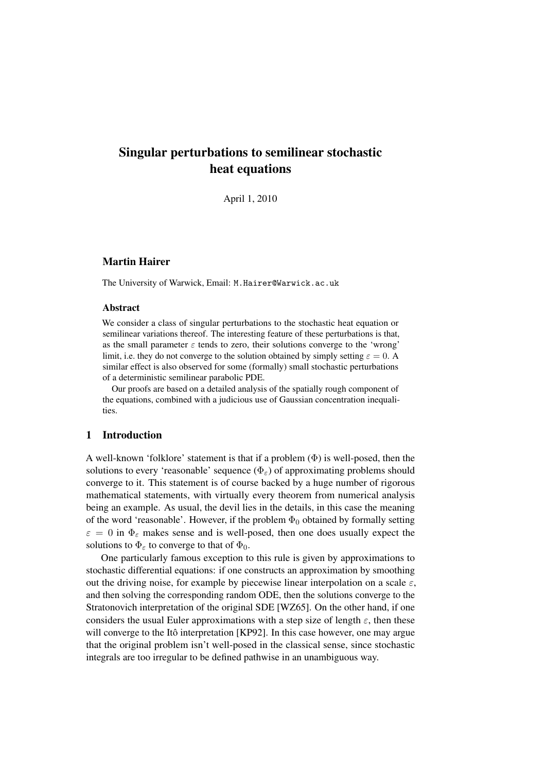# Singular perturbations to semilinear stochastic heat equations

April 1, 2010

## Martin Hairer

The University of Warwick, Email: M.Hairer@Warwick.ac.uk

#### Abstract

We consider a class of singular perturbations to the stochastic heat equation or semilinear variations thereof. The interesting feature of these perturbations is that, as the small parameter  $\varepsilon$  tends to zero, their solutions converge to the 'wrong' limit, i.e. they do not converge to the solution obtained by simply setting  $\varepsilon = 0$ . A similar effect is also observed for some (formally) small stochastic perturbations of a deterministic semilinear parabolic PDE.

Our proofs are based on a detailed analysis of the spatially rough component of the equations, combined with a judicious use of Gaussian concentration inequalities.

#### 1 Introduction

A well-known 'folklore' statement is that if a problem  $(\Phi)$  is well-posed, then the solutions to every 'reasonable' sequence ( $\Phi_{\varepsilon}$ ) of approximating problems should converge to it. This statement is of course backed by a huge number of rigorous mathematical statements, with virtually every theorem from numerical analysis being an example. As usual, the devil lies in the details, in this case the meaning of the word 'reasonable'. However, if the problem  $\Phi_0$  obtained by formally setting  $\varepsilon = 0$  in  $\Phi_{\varepsilon}$  makes sense and is well-posed, then one does usually expect the solutions to  $\Phi_{\varepsilon}$  to converge to that of  $\Phi_0$ .

One particularly famous exception to this rule is given by approximations to stochastic differential equations: if one constructs an approximation by smoothing out the driving noise, for example by piecewise linear interpolation on a scale  $\varepsilon$ , and then solving the corresponding random ODE, then the solutions converge to the Stratonovich interpretation of the original SDE [WZ65]. On the other hand, if one considers the usual Euler approximations with a step size of length  $\varepsilon$ , then these will converge to the Itô interpretation [KP92]. In this case however, one may argue that the original problem isn't well-posed in the classical sense, since stochastic integrals are too irregular to be defined pathwise in an unambiguous way.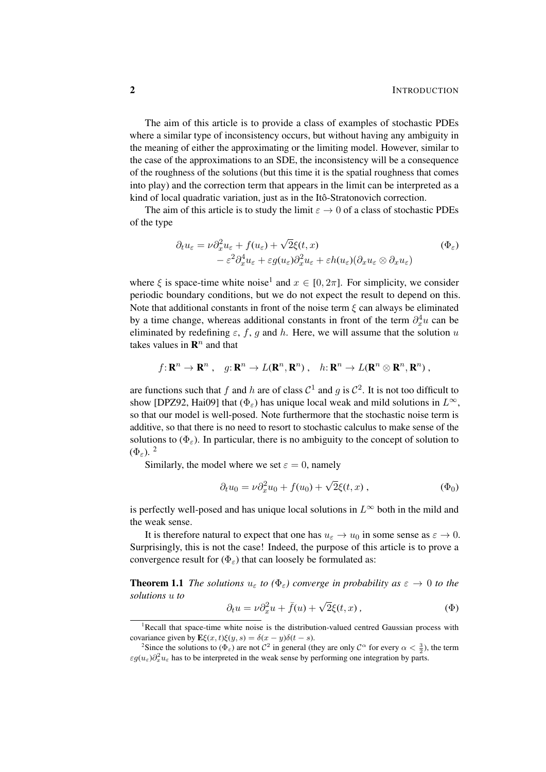The aim of this article is to provide a class of examples of stochastic PDEs where a similar type of inconsistency occurs, but without having any ambiguity in the meaning of either the approximating or the limiting model. However, similar to the case of the approximations to an SDE, the inconsistency will be a consequence of the roughness of the solutions (but this time it is the spatial roughness that comes into play) and the correction term that appears in the limit can be interpreted as a kind of local quadratic variation, just as in the Itô-Stratonovich correction.

The aim of this article is to study the limit  $\varepsilon \to 0$  of a class of stochastic PDEs of the type

$$
\partial_t u_{\varepsilon} = \nu \partial_x^2 u_{\varepsilon} + f(u_{\varepsilon}) + \sqrt{2} \xi(t, x) \n- \varepsilon^2 \partial_x^4 u_{\varepsilon} + \varepsilon g(u_{\varepsilon}) \partial_x^2 u_{\varepsilon} + \varepsilon h(u_{\varepsilon}) (\partial_x u_{\varepsilon} \otimes \partial_x u_{\varepsilon})
$$
\n
$$
( \Phi_{\varepsilon} )
$$

where  $\xi$  is space-time white noise<sup>1</sup> and  $x \in [0, 2\pi]$ . For simplicity, we consider periodic boundary conditions, but we do not expect the result to depend on this. Note that additional constants in front of the noise term  $\xi$  can always be eliminated by a time change, whereas additional constants in front of the term  $\partial_x^4 u$  can be eliminated by redefining  $\varepsilon$ , f, q and h. Here, we will assume that the solution u takes values in  $\mathbb{R}^n$  and that

$$
f: \mathbf{R}^n \to \mathbf{R}^n
$$
,  $g: \mathbf{R}^n \to L(\mathbf{R}^n, \mathbf{R}^n)$ ,  $h: \mathbf{R}^n \to L(\mathbf{R}^n \otimes \mathbf{R}^n, \mathbf{R}^n)$ ,

are functions such that f and h are of class  $C^1$  and g is  $C^2$ . It is not too difficult to show [DPZ92, Hai09] that  $(\Phi_{\varepsilon})$  has unique local weak and mild solutions in  $L^{\infty}$ , so that our model is well-posed. Note furthermore that the stochastic noise term is additive, so that there is no need to resort to stochastic calculus to make sense of the solutions to  $(\Phi_{\varepsilon})$ . In particular, there is no ambiguity to the concept of solution to  $(\Phi_{\varepsilon})$ ,  $^2$ 

Similarly, the model where we set  $\varepsilon = 0$ , namely

$$
\partial_t u_0 = \nu \partial_x^2 u_0 + f(u_0) + \sqrt{2} \xi(t, x) , \qquad (\Phi_0)
$$

is perfectly well-posed and has unique local solutions in  $L^{\infty}$  both in the mild and the weak sense.

It is therefore natural to expect that one has  $u_{\varepsilon} \to u_0$  in some sense as  $\varepsilon \to 0$ . Surprisingly, this is not the case! Indeed, the purpose of this article is to prove a convergence result for  $(\Phi_{\varepsilon})$  that can loosely be formulated as:

**Theorem 1.1** *The solutions*  $u_{\varepsilon}$  *to* ( $\Phi_{\varepsilon}$ ) *converge in probability as*  $\varepsilon \to 0$  *to the solutions* u *to* √

$$
\partial_t u = \nu \partial_x^2 u + \bar{f}(u) + \sqrt{2}\xi(t, x), \tag{\Phi}
$$

<sup>&</sup>lt;sup>1</sup>Recall that space-time white noise is the distribution-valued centred Gaussian process with covariance given by  $\mathbf{E}\xi(x,t)\xi(y,s) = \delta(x-y)\delta(t-s)$ .

<sup>&</sup>lt;sup>2</sup>Since the solutions to  $(\Phi_{\varepsilon})$  are not  $C^2$  in general (they are only  $C^{\alpha}$  for every  $\alpha < \frac{3}{2}$ ), the term  $\epsilon g(u_{\varepsilon})\partial_x^2 u_{\varepsilon}$  has to be interpreted in the weak sense by performing one integration by parts.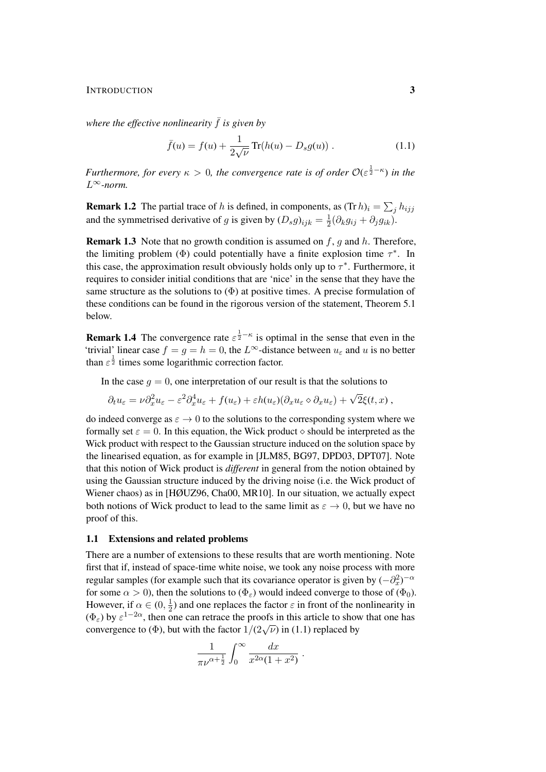#### INTRODUCTION 3

*where the effective nonlinearity*  $\bar{f}$  *is given by* 

$$
\bar{f}(u) = f(u) + \frac{1}{2\sqrt{\nu}} \operatorname{Tr}(h(u) - D_s g(u)) . \tag{1.1}
$$

*Furthermore, for every*  $\kappa > 0$ , the convergence rate is of order  $\mathcal{O}(\varepsilon^{\frac{1}{2} - \kappa})$  in the L∞*-norm.*

**Remark 1.2** The partial trace of h is defined, in components, as  $(\text{Tr } h)_i = \sum_j h_{ijj}$ and the symmetrised derivative of g is given by  $(D_s g)_{ijk} = \frac{1}{2}$  $\frac{1}{2}(\partial_k g_{ij} + \partial_j g_{ik}).$ 

**Remark 1.3** Note that no growth condition is assumed on  $f$ ,  $g$  and  $h$ . Therefore, the limiting problem ( $\Phi$ ) could potentially have a finite explosion time  $\tau^*$ . In this case, the approximation result obviously holds only up to  $\tau^*$ . Furthermore, it requires to consider initial conditions that are 'nice' in the sense that they have the same structure as the solutions to  $(\Phi)$  at positive times. A precise formulation of these conditions can be found in the rigorous version of the statement, Theorem 5.1 below.

**Remark 1.4** The convergence rate  $\varepsilon^{\frac{1}{2} - \kappa}$  is optimal in the sense that even in the 'trivial' linear case  $f = g = h = 0$ , the  $L^{\infty}$ -distance between  $u_{\varepsilon}$  and u is no better than  $\varepsilon^{\frac{1}{2}}$  times some logarithmic correction factor.

In the case  $q = 0$ , one interpretation of our result is that the solutions to

$$
\partial_t u_{\varepsilon} = \nu \partial_x^2 u_{\varepsilon} - \varepsilon^2 \partial_x^4 u_{\varepsilon} + f(u_{\varepsilon}) + \varepsilon h(u_{\varepsilon}) (\partial_x u_{\varepsilon} \diamond \partial_x u_{\varepsilon}) + \sqrt{2} \xi(t, x) ,
$$

do indeed converge as  $\varepsilon \to 0$  to the solutions to the corresponding system where we formally set  $\varepsilon = 0$ . In this equation, the Wick product  $\diamond$  should be interpreted as the Wick product with respect to the Gaussian structure induced on the solution space by the linearised equation, as for example in [JLM85, BG97, DPD03, DPT07]. Note that this notion of Wick product is *different* in general from the notion obtained by using the Gaussian structure induced by the driving noise (i.e. the Wick product of Wiener chaos) as in [HØUZ96, Cha00, MR10]. In our situation, we actually expect both notions of Wick product to lead to the same limit as  $\varepsilon \to 0$ , but we have no proof of this.

#### 1.1 Extensions and related problems

There are a number of extensions to these results that are worth mentioning. Note first that if, instead of space-time white noise, we took any noise process with more regular samples (for example such that its covariance operator is given by  $(-\partial_x^2)^{-\alpha}$ for some  $\alpha > 0$ ), then the solutions to  $(\Phi_{\varepsilon})$  would indeed converge to those of  $(\Phi_0)$ . However, if  $\alpha \in (0, \frac{1}{2})$  $\frac{1}{2}$ ) and one replaces the factor  $\varepsilon$  in front of the nonlinearity in  $(\Phi_{\varepsilon})$  by  $\varepsilon^{1-2\alpha}$ , then one can retrace the proofs in this article to show that one has convergence to ( $\Phi$ ), but with the factor  $1/(2\sqrt{\nu})$  in (1.1) replaced by

$$
\frac{1}{\pi\nu^{\alpha+\frac{1}{2}}} \int_0^\infty \frac{dx}{x^{2\alpha}(1+x^2)}.
$$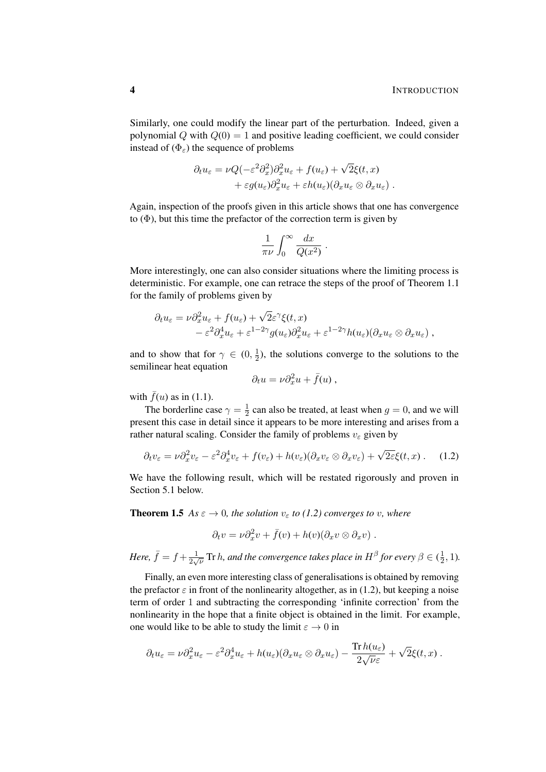Similarly, one could modify the linear part of the perturbation. Indeed, given a polynomial Q with  $Q(0) = 1$  and positive leading coefficient, we could consider instead of  $(\Phi_{\varepsilon})$  the sequence of problems

$$
\partial_t u_{\varepsilon} = \nu Q(-\varepsilon^2 \partial_x^2) \partial_x^2 u_{\varepsilon} + f(u_{\varepsilon}) + \sqrt{2} \xi(t, x) \n+ \varepsilon g(u_{\varepsilon}) \partial_x^2 u_{\varepsilon} + \varepsilon h(u_{\varepsilon}) (\partial_x u_{\varepsilon} \otimes \partial_x u_{\varepsilon}).
$$

Again, inspection of the proofs given in this article shows that one has convergence to  $(\Phi)$ , but this time the prefactor of the correction term is given by

$$
\frac{1}{\pi\nu}\int_0^\infty \frac{dx}{Q(x^2)}.
$$

More interestingly, one can also consider situations where the limiting process is deterministic. For example, one can retrace the steps of the proof of Theorem 1.1 for the family of problems given by

$$
\partial_t u_{\varepsilon} = \nu \partial_x^2 u_{\varepsilon} + f(u_{\varepsilon}) + \sqrt{2} \varepsilon^{\gamma} \xi(t, x) \n- \varepsilon^2 \partial_x^4 u_{\varepsilon} + \varepsilon^{1-2\gamma} g(u_{\varepsilon}) \partial_x^2 u_{\varepsilon} + \varepsilon^{1-2\gamma} h(u_{\varepsilon}) (\partial_x u_{\varepsilon} \otimes \partial_x u_{\varepsilon}),
$$

and to show that for  $\gamma \in (0, \frac{1}{2})$  $\frac{1}{2}$ ), the solutions converge to the solutions to the semilinear heat equation

$$
\partial_t u = \nu \partial_x^2 u + \bar{f}(u) ,
$$

with  $\bar{f}(u)$  as in (1.1).

The borderline case  $\gamma = \frac{1}{2}$  $\frac{1}{2}$  can also be treated, at least when  $g = 0$ , and we will present this case in detail since it appears to be more interesting and arises from a rather natural scaling. Consider the family of problems  $v_{\varepsilon}$  given by

$$
\partial_t v_{\varepsilon} = \nu \partial_x^2 v_{\varepsilon} - \varepsilon^2 \partial_x^4 v_{\varepsilon} + f(v_{\varepsilon}) + h(v_{\varepsilon}) (\partial_x v_{\varepsilon} \otimes \partial_x v_{\varepsilon}) + \sqrt{2\varepsilon} \xi(t, x) \,. \tag{1.2}
$$

We have the following result, which will be restated rigorously and proven in Section 5.1 below.

**Theorem 1.5** *As*  $\varepsilon \to 0$ *, the solution*  $v_{\varepsilon}$  *to* (1.2) converges to v*, where* 

$$
\partial_t v = \nu \partial_x^2 v + \bar{f}(v) + h(v) (\partial_x v \otimes \partial_x v) .
$$

*Here,*  $\bar{f} = f + \frac{1}{2}$  $\frac{1}{2\sqrt{\nu}}$  Tr h, and the convergence takes place in  $H^\beta$  for every  $\beta\in(\frac{1}{2})$  $\frac{1}{2}$ , 1).

Finally, an even more interesting class of generalisations is obtained by removing the prefactor  $\varepsilon$  in front of the nonlinearity altogether, as in (1.2), but keeping a noise term of order 1 and subtracting the corresponding 'infinite correction' from the nonlinearity in the hope that a finite object is obtained in the limit. For example, one would like to be able to study the limit  $\varepsilon \to 0$  in

$$
\partial_t u_\varepsilon = \nu \partial_x^2 u_\varepsilon - \varepsilon^2 \partial_x^4 u_\varepsilon + h(u_\varepsilon) (\partial_x u_\varepsilon \otimes \partial_x u_\varepsilon) - \frac{\operatorname{Tr} h(u_\varepsilon)}{2 \sqrt{\nu \varepsilon}} + \sqrt{2} \xi(t,x) .
$$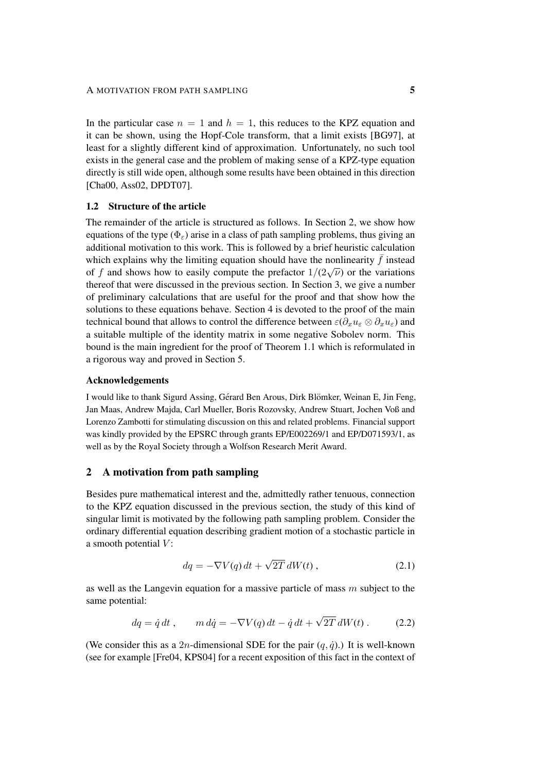In the particular case  $n = 1$  and  $h = 1$ , this reduces to the KPZ equation and it can be shown, using the Hopf-Cole transform, that a limit exists [BG97], at least for a slightly different kind of approximation. Unfortunately, no such tool exists in the general case and the problem of making sense of a KPZ-type equation directly is still wide open, although some results have been obtained in this direction [Cha00, Ass02, DPDT07].

## 1.2 Structure of the article

The remainder of the article is structured as follows. In Section 2, we show how equations of the type ( $\Phi_{\varepsilon}$ ) arise in a class of path sampling problems, thus giving an additional motivation to this work. This is followed by a brief heuristic calculation which explains why the limiting equation should have the nonlinearity  $\bar{f}$  instead of f and shows how to easily compute the prefactor  $1/(2\sqrt{\nu})$  or the variations thereof that were discussed in the previous section. In Section 3, we give a number of preliminary calculations that are useful for the proof and that show how the solutions to these equations behave. Section 4 is devoted to the proof of the main technical bound that allows to control the difference between  $\varepsilon(\partial_x u_{\varepsilon} \otimes \partial_x u_{\varepsilon})$  and a suitable multiple of the identity matrix in some negative Sobolev norm. This bound is the main ingredient for the proof of Theorem 1.1 which is reformulated in a rigorous way and proved in Section 5.

#### Acknowledgements

I would like to thank Sigurd Assing, Gérard Ben Arous, Dirk Blömker, Weinan E, Jin Feng, Jan Maas, Andrew Majda, Carl Mueller, Boris Rozovsky, Andrew Stuart, Jochen Voß and Lorenzo Zambotti for stimulating discussion on this and related problems. Financial support was kindly provided by the EPSRC through grants EP/E002269/1 and EP/D071593/1, as well as by the Royal Society through a Wolfson Research Merit Award.

#### 2 A motivation from path sampling

Besides pure mathematical interest and the, admittedly rather tenuous, connection to the KPZ equation discussed in the previous section, the study of this kind of singular limit is motivated by the following path sampling problem. Consider the ordinary differential equation describing gradient motion of a stochastic particle in a smooth potential  $V$ :

$$
dq = -\nabla V(q) dt + \sqrt{2T} dW(t) , \qquad (2.1)
$$

as well as the Langevin equation for a massive particle of mass m subject to the same potential:

$$
dq = \dot{q} dt, \qquad m d\dot{q} = -\nabla V(q) dt - \dot{q} dt + \sqrt{2T} dW(t).
$$
 (2.2)

(We consider this as a 2n-dimensional SDE for the pair  $(q, \dot{q})$ .) It is well-known (see for example [Fre04, KPS04] for a recent exposition of this fact in the context of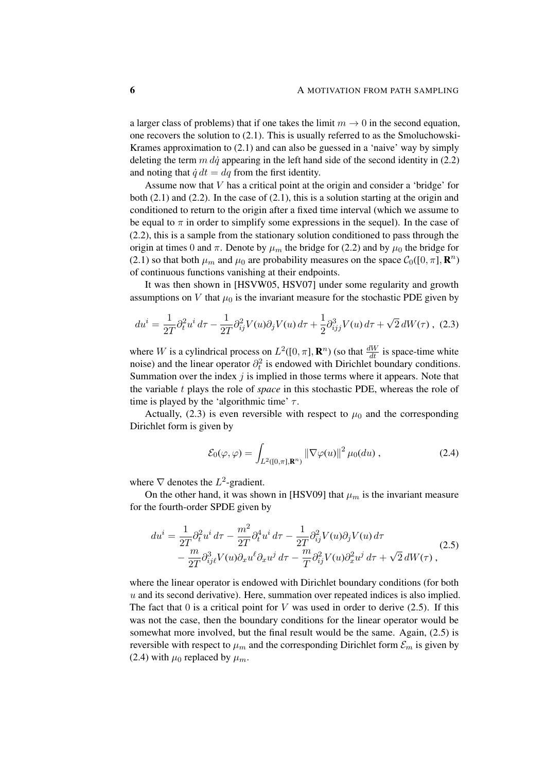a larger class of problems) that if one takes the limit  $m \to 0$  in the second equation, one recovers the solution to (2.1). This is usually referred to as the Smoluchowski-Krames approximation to (2.1) and can also be guessed in a 'naive' way by simply deleting the term  $m \, d\dot{q}$  appearing in the left hand side of the second identity in (2.2) and noting that  $\dot{q} dt = dq$  from the first identity.

Assume now that V has a critical point at the origin and consider a 'bridge' for both  $(2.1)$  and  $(2.2)$ . In the case of  $(2.1)$ , this is a solution starting at the origin and conditioned to return to the origin after a fixed time interval (which we assume to be equal to  $\pi$  in order to simplify some expressions in the sequel). In the case of (2.2), this is a sample from the stationary solution conditioned to pass through the origin at times 0 and  $\pi$ . Denote by  $\mu_m$  the bridge for (2.2) and by  $\mu_0$  the bridge for (2.1) so that both  $\mu_m$  and  $\mu_0$  are probability measures on the space  $C_0([0, \pi], \mathbb{R}^n)$ of continuous functions vanishing at their endpoints.

It was then shown in [HSVW05, HSV07] under some regularity and growth assumptions on V that  $\mu_0$  is the invariant measure for the stochastic PDE given by

$$
du^{i} = \frac{1}{2T} \partial_{t}^{2} u^{i} d\tau - \frac{1}{2T} \partial_{ij}^{2} V(u) \partial_{j} V(u) d\tau + \frac{1}{2} \partial_{ij}^{3} V(u) d\tau + \sqrt{2} dW(\tau) , \tag{2.3}
$$

where W is a cylindrical process on  $L^2([0, \pi], \mathbf{R}^n)$  (so that  $\frac{dW}{dt}$  is space-time white noise) and the linear operator  $\partial_t^2$  is endowed with Dirichlet boundary conditions. Summation over the index  $j$  is implied in those terms where it appears. Note that the variable t plays the role of *space* in this stochastic PDE, whereas the role of time is played by the 'algorithmic time'  $\tau$ .

Actually, (2.3) is even reversible with respect to  $\mu_0$  and the corresponding Dirichlet form is given by

$$
\mathcal{E}_0(\varphi, \varphi) = \int_{L^2([0,\pi], \mathbf{R}^n)} \|\nabla \varphi(u)\|^2 \,\mu_0(du) ,\qquad (2.4)
$$

where  $\nabla$  denotes the  $L^2$ -gradient.

On the other hand, it was shown in [HSV09] that  $\mu_m$  is the invariant measure for the fourth-order SPDE given by

$$
du^{i} = \frac{1}{2T} \partial_t^2 u^i d\tau - \frac{m^2}{2T} \partial_t^4 u^i d\tau - \frac{1}{2T} \partial_{ij}^2 V(u) \partial_j V(u) d\tau - \frac{m}{2T} \partial_{ij\ell}^3 V(u) \partial_x u^{\ell} \partial_x u^j d\tau - \frac{m}{T} \partial_{ij}^2 V(u) \partial_x^2 u^j d\tau + \sqrt{2} dW(\tau) ,
$$
(2.5)

where the linear operator is endowed with Dirichlet boundary conditions (for both  $u$  and its second derivative). Here, summation over repeated indices is also implied. The fact that  $0$  is a critical point for  $V$  was used in order to derive (2.5). If this was not the case, then the boundary conditions for the linear operator would be somewhat more involved, but the final result would be the same. Again,  $(2.5)$  is reversible with respect to  $\mu_m$  and the corresponding Dirichlet form  $\mathcal{E}_m$  is given by (2.4) with  $\mu_0$  replaced by  $\mu_m$ .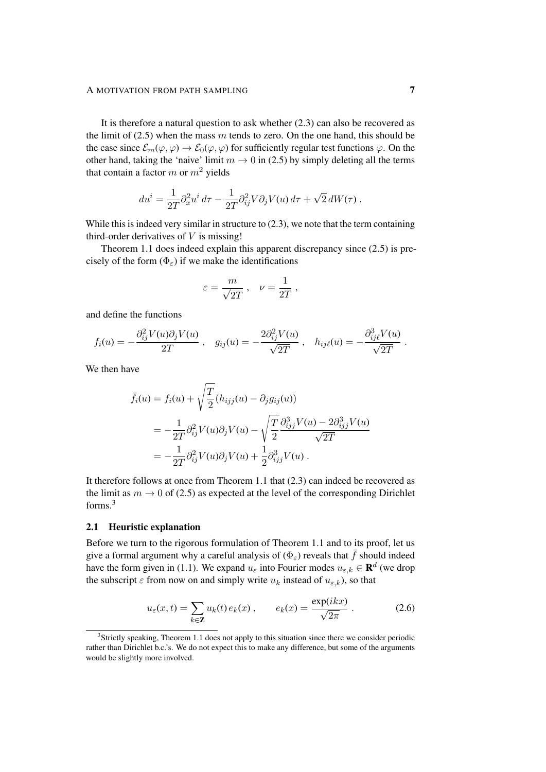It is therefore a natural question to ask whether (2.3) can also be recovered as the limit of  $(2.5)$  when the mass m tends to zero. On the one hand, this should be the case since  $\mathcal{E}_m(\varphi, \varphi) \to \mathcal{E}_0(\varphi, \varphi)$  for sufficiently regular test functions  $\varphi$ . On the other hand, taking the 'naive' limit  $m \to 0$  in (2.5) by simply deleting all the terms that contain a factor m or  $m^2$  yields

$$
du^{i} = \frac{1}{2T} \partial_x^2 u^{i} d\tau - \frac{1}{2T} \partial_{ij}^2 V \partial_j V(u) d\tau + \sqrt{2} dW(\tau) .
$$

While this is indeed very similar in structure to  $(2.3)$ , we note that the term containing third-order derivatives of  $V$  is missing!

Theorem 1.1 does indeed explain this apparent discrepancy since (2.5) is precisely of the form  $(\Phi_{\varepsilon})$  if we make the identifications

$$
\varepsilon = \frac{m}{\sqrt{2T}} \,, \quad \nu = \frac{1}{2T} \,,
$$

and define the functions

$$
f_i(u) = -\frac{\partial_{ij}^2 V(u)\partial_j V(u)}{2T}, \quad g_{ij}(u) = -\frac{2\partial_{ij}^2 V(u)}{\sqrt{2T}}, \quad h_{ij\ell}(u) = -\frac{\partial_{ij\ell}^3 V(u)}{\sqrt{2T}}.
$$

We then have

$$
\bar{f}_i(u) = f_i(u) + \sqrt{\frac{T}{2}} (h_{ijj}(u) - \partial_j g_{ij}(u))
$$
  
=  $-\frac{1}{2T} \partial_{ij}^2 V(u) \partial_j V(u) - \sqrt{\frac{T}{2}} \frac{\partial_{ijj}^3 V(u) - 2\partial_{ijj}^3 V(u)}{\sqrt{2T}}$   
=  $-\frac{1}{2T} \partial_{ij}^2 V(u) \partial_j V(u) + \frac{1}{2} \partial_{ijj}^3 V(u) .$ 

It therefore follows at once from Theorem 1.1 that (2.3) can indeed be recovered as the limit as  $m \to 0$  of (2.5) as expected at the level of the corresponding Dirichlet forms.<sup>3</sup>

#### 2.1 Heuristic explanation

Before we turn to the rigorous formulation of Theorem 1.1 and to its proof, let us give a formal argument why a careful analysis of ( $\Phi_{\varepsilon}$ ) reveals that  $\bar{f}$  should indeed have the form given in (1.1). We expand  $u_{\varepsilon}$  into Fourier modes  $u_{\varepsilon,k} \in \mathbf{R}^d$  (we drop the subscript  $\varepsilon$  from now on and simply write  $u_k$  instead of  $u_{\varepsilon,k}$ ), so that

$$
u_{\varepsilon}(x,t) = \sum_{k \in \mathbf{Z}} u_k(t) e_k(x), \qquad e_k(x) = \frac{\exp(ikx)}{\sqrt{2\pi}}.
$$
 (2.6)

<sup>&</sup>lt;sup>3</sup>Strictly speaking, Theorem 1.1 does not apply to this situation since there we consider periodic rather than Dirichlet b.c.'s. We do not expect this to make any difference, but some of the arguments would be slightly more involved.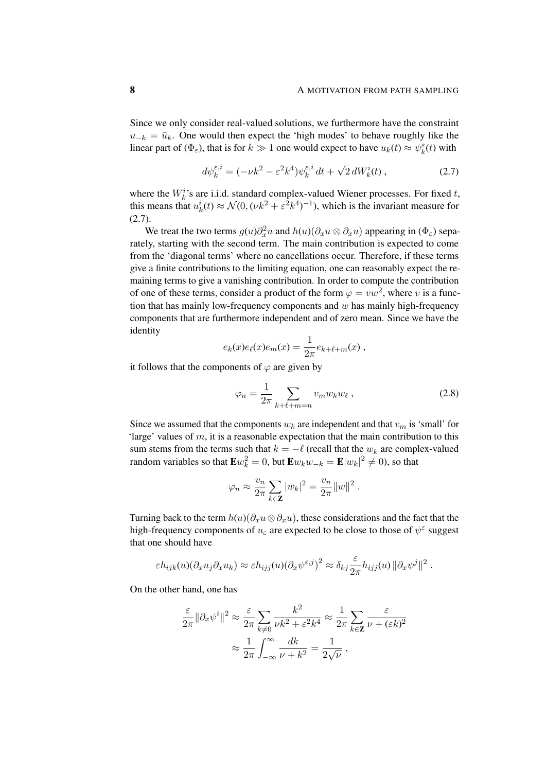Since we only consider real-valued solutions, we furthermore have the constraint  $u_{-k} = \bar{u}_k$ . One would then expect the 'high modes' to behave roughly like the linear part of  $(\Phi_{\varepsilon})$ , that is for  $k \gg 1$  one would expect to have  $u_k(t) \approx \psi_k^{\varepsilon}(t)$  with

$$
d\psi_k^{\varepsilon,i} = (-\nu k^2 - \varepsilon^2 k^4) \psi_k^{\varepsilon,i} dt + \sqrt{2} dW_k^i(t) , \qquad (2.7)
$$

where the  $W_k^i$ 's are i.i.d. standard complex-valued Wiener processes. For fixed  $t$ , this means that  $u_k^i(t) \approx \mathcal{N}(0, (\nu k^2 + \varepsilon^2 k^4)^{-1})$ , which is the invariant measure for (2.7).

We treat the two terms  $g(u)\partial_x^2 u$  and  $h(u)(\partial_x u \otimes \partial_x u)$  appearing in  $(\Phi_{\varepsilon})$  separately, starting with the second term. The main contribution is expected to come from the 'diagonal terms' where no cancellations occur. Therefore, if these terms give a finite contributions to the limiting equation, one can reasonably expect the remaining terms to give a vanishing contribution. In order to compute the contribution of one of these terms, consider a product of the form  $\varphi = vw^2$ , where v is a function that has mainly low-frequency components and  $w$  has mainly high-frequency components that are furthermore independent and of zero mean. Since we have the identity

$$
e_k(x)e_{\ell}(x)e_m(x) = \frac{1}{2\pi}e_{k+\ell+m}(x) ,
$$

it follows that the components of  $\varphi$  are given by

$$
\varphi_n = \frac{1}{2\pi} \sum_{k+\ell+m=n} v_m w_k w_\ell \,, \tag{2.8}
$$

Since we assumed that the components  $w_k$  are independent and that  $v_m$  is 'small' for 'large' values of m, it is a reasonable expectation that the main contribution to this sum stems from the terms such that  $k = -\ell$  (recall that the  $w_k$  are complex-valued random variables so that  $E w_k^2 = 0$ , but  $E w_k w_{-k} = E |w_k|^2 \neq 0$ ), so that

$$
\varphi_n \approx \frac{v_n}{2\pi} \sum_{k \in \mathbf{Z}} |w_k|^2 = \frac{v_n}{2\pi} ||w||^2.
$$

Turning back to the term  $h(u)(\partial_x u \otimes \partial_x u)$ , these considerations and the fact that the high-frequency components of  $u_{\varepsilon}$  are expected to be close to those of  $\psi^{\varepsilon}$  suggest that one should have

$$
\varepsilon h_{ijk}(u)(\partial_x u_j \partial_x u_k) \approx \varepsilon h_{ijj}(u)(\partial_x \psi^{\varepsilon,j})^2 \approx \delta_{kj} \frac{\varepsilon}{2\pi} h_{ijj}(u) \|\partial_x \psi^j\|^2.
$$

On the other hand, one has

$$
\frac{\varepsilon}{2\pi} \|\partial_x \psi^i\|^2 \approx \frac{\varepsilon}{2\pi} \sum_{k\neq 0} \frac{k^2}{\nu k^2 + \varepsilon^2 k^4} \approx \frac{1}{2\pi} \sum_{k\in \mathbf{Z}} \frac{\varepsilon}{\nu + (\varepsilon k)^2}
$$

$$
\approx \frac{1}{2\pi} \int_{-\infty}^{\infty} \frac{dk}{\nu + k^2} = \frac{1}{2\sqrt{\nu}},
$$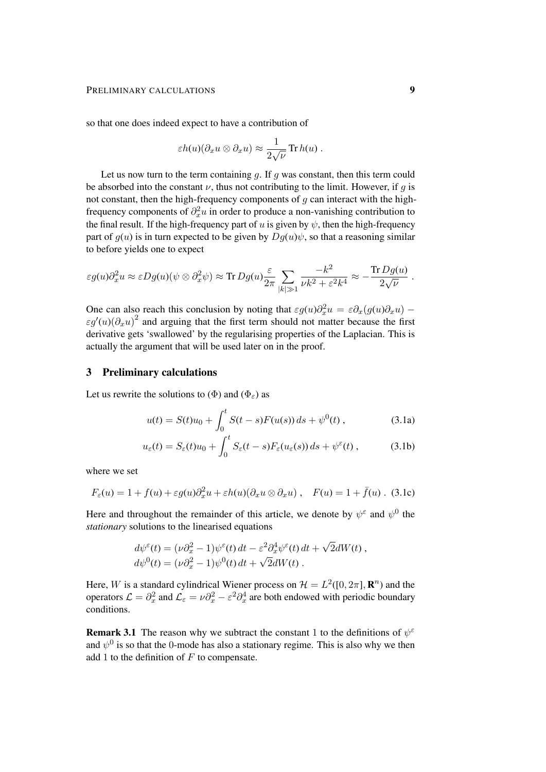so that one does indeed expect to have a contribution of

$$
\varepsilon h(u)(\partial_x u \otimes \partial_x u) \approx \frac{1}{2\sqrt{\nu}} \operatorname{Tr} h(u) .
$$

Let us now turn to the term containing  $g$ . If  $g$  was constant, then this term could be absorbed into the constant  $\nu$ , thus not contributing to the limit. However, if q is not constant, then the high-frequency components of  $q$  can interact with the highfrequency components of  $\partial_x^2 u$  in order to produce a non-vanishing contribution to the final result. If the high-frequency part of u is given by  $\psi$ , then the high-frequency part of  $g(u)$  is in turn expected to be given by  $Dg(u)\psi$ , so that a reasoning similar to before yields one to expect

$$
\varepsilon g(u)\partial_x^2 u \approx \varepsilon Dg(u)(\psi \otimes \partial_x^2 \psi) \approx \text{Tr } Dg(u) \frac{\varepsilon}{2\pi} \sum_{|k| \gg 1} \frac{-k^2}{\nu k^2 + \varepsilon^2 k^4} \approx -\frac{\text{Tr } Dg(u)}{2\sqrt{\nu}}.
$$

One can also reach this conclusion by noting that  $\varepsilon g(u)\partial_x^2 u = \varepsilon \partial_x (g(u)\partial_x u)$  –  $\epsilon g'(u)(\partial_x u)^2$  and arguing that the first term should not matter because the first derivative gets 'swallowed' by the regularising properties of the Laplacian. This is actually the argument that will be used later on in the proof.

#### 3 Preliminary calculations

Let us rewrite the solutions to ( $\Phi$ ) and ( $\Phi_{\varepsilon}$ ) as

$$
u(t) = S(t)u_0 + \int_0^t S(t - s)F(u(s)) ds + \psi^0(t), \qquad (3.1a)
$$

$$
u_{\varepsilon}(t) = S_{\varepsilon}(t)u_0 + \int_0^t S_{\varepsilon}(t-s)F_{\varepsilon}(u_{\varepsilon}(s))\,ds + \psi^{\varepsilon}(t) ,\qquad (3.1b)
$$

where we set

$$
F_{\varepsilon}(u) = 1 + f(u) + \varepsilon g(u)\partial_x^2 u + \varepsilon h(u)(\partial_x u \otimes \partial_x u) , \quad F(u) = 1 + \bar{f}(u) . \tag{3.1c}
$$

Here and throughout the remainder of this article, we denote by  $\psi^{\epsilon}$  and  $\psi^{0}$  the *stationary* solutions to the linearised equations

$$
d\psi^{\varepsilon}(t) = (\nu \partial_x^2 - 1)\psi^{\varepsilon}(t) dt - \varepsilon^2 \partial_x^4 \psi^{\varepsilon}(t) dt + \sqrt{2}dW(t),
$$
  

$$
d\psi^0(t) = (\nu \partial_x^2 - 1)\psi^0(t) dt + \sqrt{2}dW(t).
$$

Here, W is a standard cylindrical Wiener process on  $\mathcal{H} = L^2([0, 2\pi], \mathbf{R}^n)$  and the operators  $\mathcal{L} = \partial_x^2$  and  $\mathcal{L}_{\varepsilon} = \nu \partial_x^2 - \varepsilon^2 \partial_x^4$  are both endowed with periodic boundary conditions.

**Remark 3.1** The reason why we subtract the constant 1 to the definitions of  $\psi^{\epsilon}$ and  $\psi^0$  is so that the 0-mode has also a stationary regime. This is also why we then add 1 to the definition of  $F$  to compensate.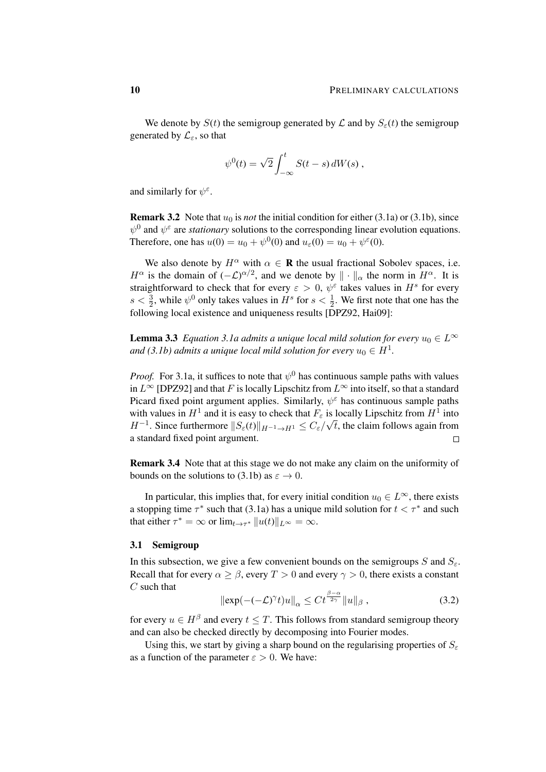We denote by  $S(t)$  the semigroup generated by  $\mathcal L$  and by  $S_{\varepsilon}(t)$  the semigroup generated by  $\mathcal{L}_{\varepsilon}$ , so that

$$
\psi^0(t) = \sqrt{2} \int_{-\infty}^t S(t-s) dW(s) ,
$$

and similarly for  $\psi^{\varepsilon}$ .

**Remark 3.2** Note that  $u_0$  is *not* the initial condition for either (3.1a) or (3.1b), since  $\psi^0$  and  $\psi^{\epsilon}$  are *stationary* solutions to the corresponding linear evolution equations. Therefore, one has  $u(0) = u_0 + \psi^0(0)$  and  $u_\varepsilon(0) = u_0 + \psi^\varepsilon(0)$ .

We also denote by  $H^{\alpha}$  with  $\alpha \in \mathbf{R}$  the usual fractional Sobolev spaces, i.e.  $H^{\alpha}$  is the domain of  $(-\mathcal{L})^{\alpha/2}$ , and we denote by  $\|\cdot\|_{\alpha}$  the norm in  $H^{\alpha}$ . It is straightforward to check that for every  $\varepsilon > 0$ ,  $\psi^{\varepsilon}$  takes values in  $H^s$  for every  $s < \frac{3}{2}$ , while  $\psi^0$  only takes values in  $H^s$  for  $s < \frac{1}{2}$ . We first note that one has the following local existence and uniqueness results [DPZ92, Hai09]:

**Lemma 3.3** *Equation 3.1a admits a unique local mild solution for every*  $u_0 \in L^\infty$ and (3.1b) admits a unique local mild solution for every  $u_0 \in H^1$ .

*Proof.* For 3.1a, it suffices to note that  $\psi^0$  has continuous sample paths with values in  $L^{\infty}$  [DPZ92] and that F is locally Lipschitz from  $L^{\infty}$  into itself, so that a standard Picard fixed point argument applies. Similarly,  $\psi^{\varepsilon}$  has continuous sample paths with values in  $H^1$  and it is easy to check that  $F_\varepsilon$  is locally Lipschitz from  $H^1$  into  $H^{-1}$ . Since furthermore  $||S_{\varepsilon}(t)||_{H^{-1}\to H^1} \leq C_{\varepsilon}/\sqrt{t}$ , the claim follows again from a standard fixed point argument.  $\Box$ 

Remark 3.4 Note that at this stage we do not make any claim on the uniformity of bounds on the solutions to (3.1b) as  $\varepsilon \to 0$ .

In particular, this implies that, for every initial condition  $u_0 \in L^{\infty}$ , there exists a stopping time  $\tau^*$  such that (3.1a) has a unique mild solution for  $t < \tau^*$  and such that either  $\tau^* = \infty$  or  $\lim_{t \to \tau^*} ||u(t)||_{L^{\infty}} = \infty$ .

#### 3.1 Semigroup

In this subsection, we give a few convenient bounds on the semigroups S and  $S_{\epsilon}$ . Recall that for every  $\alpha \geq \beta$ , every  $T > 0$  and every  $\gamma > 0$ , there exists a constant  $C$  such that  $\theta$ <sub>α</sub>

$$
\|\exp(-(-\mathcal{L})^{\gamma}t)u\|_{\alpha} \leq Ct^{\frac{\beta-\alpha}{2\gamma}}\|u\|_{\beta},\tag{3.2}
$$

for every  $u \in H^{\beta}$  and every  $t \leq T$ . This follows from standard semigroup theory and can also be checked directly by decomposing into Fourier modes.

Using this, we start by giving a sharp bound on the regularising properties of  $S_{\epsilon}$ as a function of the parameter  $\varepsilon > 0$ . We have: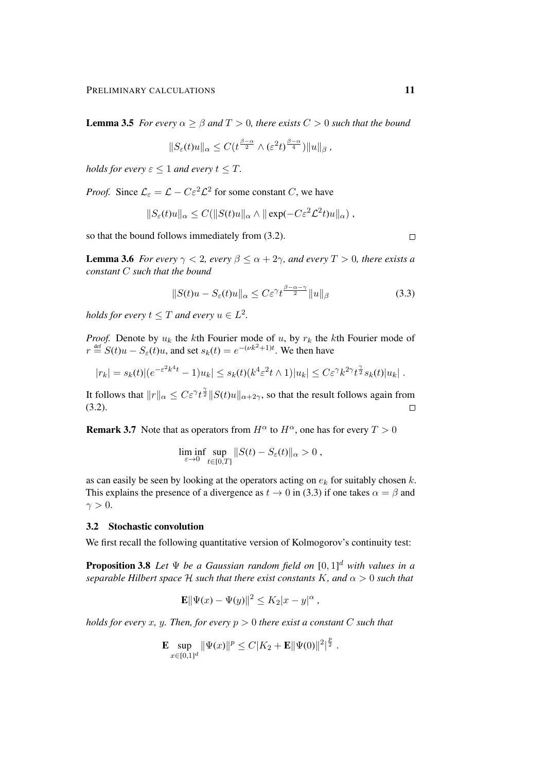**Lemma 3.5** *For every*  $\alpha \geq \beta$  *and*  $T > 0$ *, there exists*  $C > 0$  *such that the bound* 

$$
||S_{\varepsilon}(t)u||_{\alpha} \leq C(t^{\frac{\beta-\alpha}{2}} \wedge (\varepsilon^2 t)^{\frac{\beta-\alpha}{4}})||u||_{\beta},
$$

*holds for every*  $\varepsilon$  < 1 *and every*  $t$  <  $T$ *.* 

*Proof.* Since  $\mathcal{L}_{\varepsilon} = \mathcal{L} - C \varepsilon^2 \mathcal{L}^2$  for some constant C, we have

$$
||S_{\varepsilon}(t)u||_{\alpha} \leq C(||S(t)u||_{\alpha} \wedge ||\exp(-C\varepsilon^2 \mathcal{L}^2 t)u||_{\alpha}),
$$

so that the bound follows immediately from (3.2).

**Lemma 3.6** *For every*  $\gamma < 2$ *, every*  $\beta \le \alpha + 2\gamma$ *, and every*  $T > 0$ *, there exists a constant* C *such that the bound*

$$
||S(t)u - S_{\varepsilon}(t)u||_{\alpha} \le C\varepsilon^{\gamma} t^{\frac{\beta - \alpha - \gamma}{2}} ||u||_{\beta}
$$
\n(3.3)

*holds for every*  $t \leq T$  *and every*  $u \in L^2$ .

*Proof.* Denote by  $u_k$  the kth Fourier mode of u, by  $r_k$  the kth Fourier mode of  $r \stackrel{\text{def}}{=} S(t)u - S_{\varepsilon}(t)u$ , and set  $s_k(t) = e^{-(\nu k^2 + 1)t}$ . We then have

$$
|r_k| = s_k(t) |(e^{-\varepsilon^2 k^4 t} - 1)u_k| \leq s_k(t) (k^4 \varepsilon^2 t \wedge 1)|u_k| \leq C\varepsilon^{\gamma} k^{2\gamma} t^{\frac{\gamma}{2}} s_k(t)|u_k|.
$$

It follows that  $||r||_{\alpha} \leq C \varepsilon^{\gamma} t^{\frac{\gamma}{2}} ||S(t)u||_{\alpha+2\gamma}$ , so that the result follows again from  $(3.2).$  $\Box$ 

**Remark 3.7** Note that as operators from  $H^{\alpha}$  to  $H^{\alpha}$ , one has for every  $T > 0$ 

$$
\liminf_{\varepsilon \to 0} \sup_{t \in [0,T]} \|S(t) - S_{\varepsilon}(t)\|_{\alpha} > 0,
$$

as can easily be seen by looking at the operators acting on  $e_k$  for suitably chosen k. This explains the presence of a divergence as  $t \to 0$  in (3.3) if one takes  $\alpha = \beta$  and  $\gamma > 0$ .

# 3.2 Stochastic convolution

We first recall the following quantitative version of Kolmogorov's continuity test:

Proposition 3.8 *Let* Ψ *be a Gaussian random field on* [0, 1] <sup>d</sup> *with values in a separable Hilbert space*  $H$  *such that there exist constants* K, and  $\alpha > 0$  *such that* 

$$
\mathbf{E} \|\Psi(x) - \Psi(y)\|^2 \le K_2 |x - y|^\alpha,
$$

*holds for every x, y. Then, for every*  $p > 0$  *there exist a constant* C *such that* 

$$
\mathbf{E} \sup_{x \in [0,1]^d} \|\Psi(x)\|^p \leq C|K_2 + \mathbf{E} \|\Psi(0)\|^2|^{\frac{p}{2}}.
$$

 $\Box$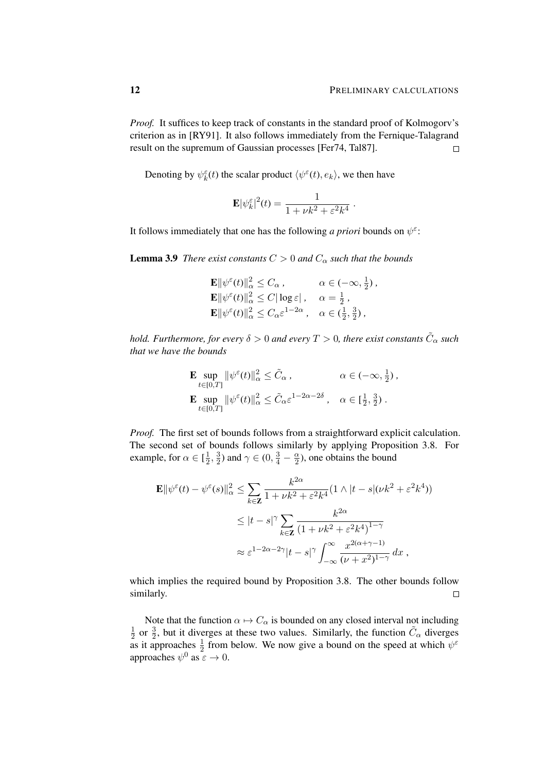*Proof.* It suffices to keep track of constants in the standard proof of Kolmogory's criterion as in [RY91]. It also follows immediately from the Fernique-Talagrand result on the supremum of Gaussian processes [Fer74, Tal87].  $\Box$ 

Denoting by  $\psi_k^{\varepsilon}(t)$  the scalar product  $\langle \psi^{\varepsilon}(t), e_k \rangle$ , we then have

$$
\mathbf{E}|\psi_k^{\varepsilon}|^2(t) = \frac{1}{1 + \nu k^2 + \varepsilon^2 k^4}.
$$

It follows immediately that one has the following *a priori* bounds on  $\psi^{\varepsilon}$ :

**Lemma 3.9** *There exist constants*  $C > 0$  *and*  $C_\alpha$  *such that the bounds* 

$$
\mathbf{E} \|\psi^{\varepsilon}(t)\|_{\alpha}^{2} \leq C_{\alpha}, \qquad \alpha \in (-\infty, \frac{1}{2}),
$$
  
\n
$$
\mathbf{E} \|\psi^{\varepsilon}(t)\|_{\alpha}^{2} \leq C |\log \varepsilon|, \quad \alpha = \frac{1}{2},
$$
  
\n
$$
\mathbf{E} \|\psi^{\varepsilon}(t)\|_{\alpha}^{2} \leq C_{\alpha} \varepsilon^{1-2\alpha}, \quad \alpha \in (\frac{1}{2}, \frac{3}{2}),
$$

hold. Furthermore, for every  $\delta > 0$  and every  $T > 0$ , there exist constants  $\tilde{C}_{\alpha}$  such *that we have the bounds*

$$
\mathbf{E} \sup_{t \in [0,T]} \|\psi^{\varepsilon}(t)\|_{\alpha}^{2} \leq \tilde{C}_{\alpha}, \qquad \alpha \in (-\infty, \frac{1}{2}),
$$
  

$$
\mathbf{E} \sup_{t \in [0,T]} \|\psi^{\varepsilon}(t)\|_{\alpha}^{2} \leq \tilde{C}_{\alpha} \varepsilon^{1-2\alpha-2\delta}, \quad \alpha \in [\frac{1}{2}, \frac{3}{2}).
$$

*Proof.* The first set of bounds follows from a straightforward explicit calculation. The second set of bounds follows similarly by applying Proposition 3.8. For example, for  $\alpha \in [\frac{1}{2}]$  $\frac{1}{2}, \frac{3}{2}$  $\frac{3}{2}$ ) and  $\gamma \in (0, \frac{3}{4} - \frac{\alpha}{2})$  $\frac{\alpha}{2}$ ), one obtains the bound

$$
\mathbf{E} \|\psi^{\varepsilon}(t) - \psi^{\varepsilon}(s)\|_{\alpha}^{2} \leq \sum_{k \in \mathbf{Z}} \frac{k^{2\alpha}}{1 + \nu k^{2} + \varepsilon^{2} k^{4}} (1 \wedge |t - s|(\nu k^{2} + \varepsilon^{2} k^{4}))
$$
  

$$
\leq |t - s|^{\gamma} \sum_{k \in \mathbf{Z}} \frac{k^{2\alpha}}{(1 + \nu k^{2} + \varepsilon^{2} k^{4})^{1 - \gamma}}
$$
  

$$
\approx \varepsilon^{1 - 2\alpha - 2\gamma} |t - s|^{\gamma} \int_{-\infty}^{\infty} \frac{x^{2(\alpha + \gamma - 1)}}{(\nu + x^{2})^{1 - \gamma}} dx,
$$

which implies the required bound by Proposition 3.8. The other bounds follow similarly.  $\Box$ 

Note that the function  $\alpha \mapsto C_{\alpha}$  is bounded on any closed interval not including 1  $\frac{1}{2}$  or  $\frac{3}{2}$ , but it diverges at these two values. Similarly, the function  $\tilde{C}_{\alpha}$  diverges as it approaches  $\frac{1}{2}$  from below. We now give a bound on the speed at which  $\psi^{\epsilon}$ approaches  $\psi^0$  as  $\epsilon \to 0$ .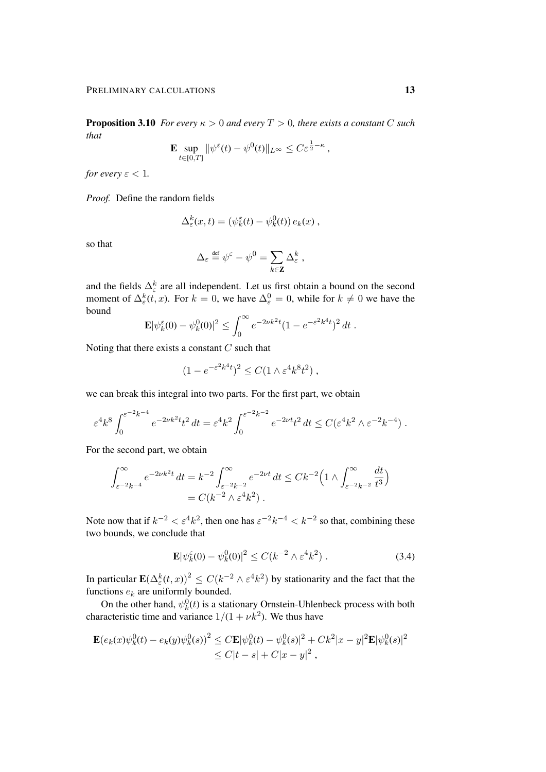**Proposition 3.10** *For every*  $\kappa > 0$  *and every*  $T > 0$ *, there exists a constant* C *such that*

$$
\mathbf{E} \sup_{t \in [0,T]} \|\psi^{\varepsilon}(t) - \psi^0(t)\|_{L^{\infty}} \leq C \varepsilon^{\frac{1}{2} - \kappa},
$$

*for every*  $\varepsilon < 1$ *.* 

*Proof.* Define the random fields

$$
\Delta_{\varepsilon}^k(x,t) = (\psi_k^{\varepsilon}(t) - \psi_k^0(t)) e_k(x) ,
$$

so that

$$
\Delta_{\varepsilon} \stackrel{\text{\tiny def}}{=} \psi^{\varepsilon} - \psi^0 = \sum_{k \in \mathbf{Z}} \Delta_{\varepsilon}^k \;,
$$

and the fields  $\Delta_{\varepsilon}^{k}$  are all independent. Let us first obtain a bound on the second moment of  $\Delta_{\varepsilon}^{k}(t, x)$ . For  $k = 0$ , we have  $\Delta_{\varepsilon}^{0} = 0$ , while for  $k \neq 0$  we have the bound

$$
\mathbf{E} |\psi_k^{\varepsilon}(0) - \psi_k^0(0)|^2 \le \int_0^{\infty} e^{-2\nu k^2 t} (1 - e^{-\varepsilon^2 k^4 t})^2 dt.
$$

Noting that there exists a constant  $C$  such that

$$
(1 - e^{-\varepsilon^2 k^4 t})^2 \le C(1 \wedge \varepsilon^4 k^8 t^2) ,
$$

we can break this integral into two parts. For the first part, we obtain

$$
\varepsilon^4 k^8 \int_0^{\varepsilon^{-2} k^{-4}} e^{-2\nu k^2 t} t^2 dt = \varepsilon^4 k^2 \int_0^{\varepsilon^{-2} k^{-2}} e^{-2\nu t} t^2 dt \le C(\varepsilon^4 k^2 \wedge \varepsilon^{-2} k^{-4}).
$$

For the second part, we obtain

$$
\int_{\varepsilon^{-2}k^{-4}}^{\infty} e^{-2\nu k^2 t} dt = k^{-2} \int_{\varepsilon^{-2}k^{-2}}^{\infty} e^{-2\nu t} dt \le C k^{-2} \Big( 1 \wedge \int_{\varepsilon^{-2}k^{-2}}^{\infty} \frac{dt}{t^3} \Big)
$$
  
=  $C(k^{-2} \wedge \varepsilon^4 k^2)$ .

Note now that if  $k^{-2} < \varepsilon^4 k^2$ , then one has  $\varepsilon^{-2} k^{-4} < k^{-2}$  so that, combining these two bounds, we conclude that

$$
\mathbf{E} |\psi_k^{\varepsilon}(0) - \psi_k^0(0)|^2 \le C(k^{-2} \wedge \varepsilon^4 k^2) . \tag{3.4}
$$

In particular  $\mathbf{E}(\Delta_{\varepsilon}^k(t,x))^2 \le C(k^{-2}\wedge \varepsilon^4 k^2)$  by stationarity and the fact that the functions  $e_k$  are uniformly bounded.

On the other hand,  $\psi_k^0(t)$  is a stationary Ornstein-Uhlenbeck process with both characteristic time and variance  $1/(1 + \nu k^2)$ . We thus have

$$
\mathbf{E}(e_k(x)\psi_k^0(t) - e_k(y)\psi_k^0(s))^2 \le C \mathbf{E}|\psi_k^0(t) - \psi_k^0(s)|^2 + Ck^2|x - y|^2 \mathbf{E}|\psi_k^0(s)|^2
$$
  

$$
\le C|t - s| + C|x - y|^2,
$$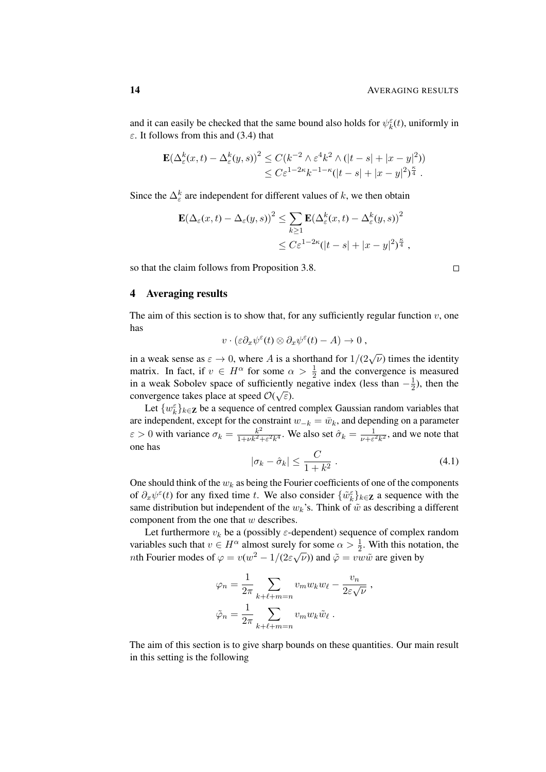and it can easily be checked that the same bound also holds for  $\psi_k^{\varepsilon}(t)$ , uniformly in  $\varepsilon$ . It follows from this and (3.4) that

$$
\mathbf{E}(\Delta_{\varepsilon}^{k}(x,t) - \Delta_{\varepsilon}^{k}(y,s))^{2} \leq C(k^{-2} \wedge \varepsilon^{4} k^{2} \wedge (|t-s| + |x-y|^{2}))
$$
  

$$
\leq C \varepsilon^{1-2\kappa} k^{-1-\kappa} (|t-s| + |x-y|^{2})^{\frac{\kappa}{4}}.
$$

Since the  $\Delta_{\varepsilon}^{k}$  are independent for different values of k, we then obtain

$$
\mathbf{E}(\Delta_{\varepsilon}(x,t) - \Delta_{\varepsilon}(y,s))^2 \le \sum_{k \ge 1} \mathbf{E}(\Delta_{\varepsilon}^k(x,t) - \Delta_{\varepsilon}^k(y,s))^2
$$
  

$$
\le C\varepsilon^{1-2\kappa}(|t-s| + |x-y|^2)^{\frac{\kappa}{4}},
$$

so that the claim follows from Proposition 3.8.

4 Averaging results

The aim of this section is to show that, for any sufficiently regular function  $v$ , one has

$$
v\cdot(\varepsilon\partial_x\psi^\varepsilon(t)\otimes\partial_x\psi^\varepsilon(t)-A)\to 0\;,
$$

in a weak sense as  $\varepsilon \to 0$ , where A is a shorthand for  $1/(2\sqrt{\nu})$  times the identity matrix. In fact, if  $v \in H^{\alpha}$  for some  $\alpha > \frac{1}{2}$  and the convergence is measured in a weak Sobolev space of sufficiently negative index (less than  $-\frac{1}{2}$ ) ently negative index (less than  $-\frac{1}{2}$ ), then the convergence takes place at speed  $\mathcal{O}(\sqrt{\varepsilon})$ .

Let  $\{w_k^{\varepsilon}\}_{k\in\mathbf{Z}}$  be a sequence of centred complex Gaussian random variables that k are independent, except for the constraint  $w_{-k} = \bar{w}_k$ , and depending on a parameter  $\varepsilon > 0$  with variance  $\sigma_k = \frac{k^2}{1 + \nu k^2}$  $\frac{k^2}{1+\nu k^2+\varepsilon^2k^4}$ . We also set  $\hat{\sigma}_k = \frac{1}{\nu+\varepsilon}$  $\frac{1}{\nu+\epsilon^2k^2}$ , and we note that one has

$$
|\sigma_k - \hat{\sigma}_k| \le \frac{C}{1 + k^2} \,. \tag{4.1}
$$

One should think of the  $w_k$  as being the Fourier coefficients of one of the components of  $\partial_x \psi^{\epsilon}(t)$  for any fixed time t. We also consider  $\{\tilde{w}_k^{\epsilon}\}_{k\in \mathbb{Z}}$  a sequence with the same distribution but independent of the  $w_k$ 's. Think of  $\tilde{w}$  as describing a different component from the one that w describes.

Let furthermore  $v_k$  be a (possibly  $\varepsilon$ -dependent) sequence of complex random variables such that  $v \in H^{\alpha}$  almost surely for some  $\alpha > \frac{1}{2}$ . With this notation, the *nth* Fourier modes of  $\varphi = v(w^2 - 1/(2\varepsilon\sqrt{\nu}))$  and  $\tilde{\varphi} = v \overline{w} \tilde{w}$  are given by

$$
\varphi_n = \frac{1}{2\pi} \sum_{k+\ell+m=n} v_m w_k w_{\ell} - \frac{v_n}{2\varepsilon\sqrt{\nu}},
$$

$$
\tilde{\varphi}_n = \frac{1}{2\pi} \sum_{k+\ell+m=n} v_m w_k \tilde{w}_{\ell}.
$$

The aim of this section is to give sharp bounds on these quantities. Our main result in this setting is the following

 $\Box$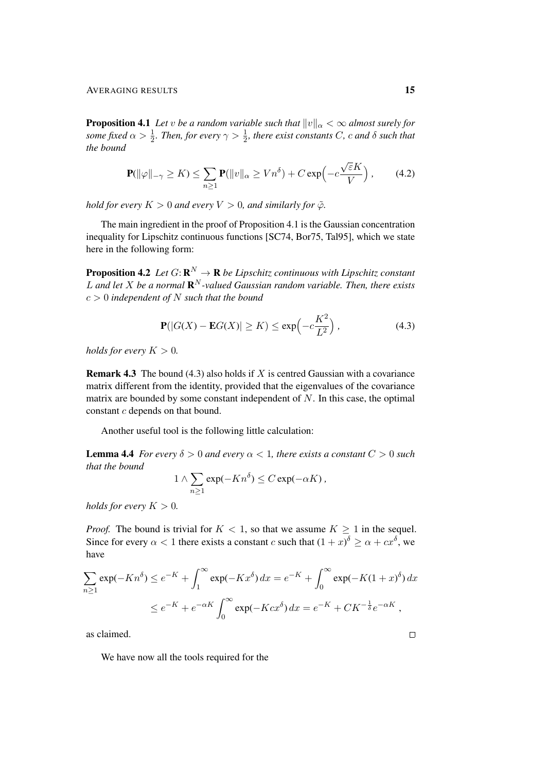**Proposition 4.1** *Let v be a random variable such that*  $||v||_{\alpha} < \infty$  *almost surely for* some fixed  $\alpha > \frac{1}{2}$ . Then, for every  $\gamma > \frac{1}{2}$ , there exist constants C, c and  $\delta$  such that *the bound*

$$
\mathbf{P}(\|\varphi\|_{-\gamma} \ge K) \le \sum_{n\ge 1} \mathbf{P}(\|v\|_{\alpha} \ge Vn^{\delta}) + C \exp\left(-c\frac{\sqrt{\varepsilon}K}{V}\right),\qquad(4.2)
$$

*hold for every*  $K > 0$  *and every*  $V > 0$ *, and similarly for*  $\tilde{\varphi}$ *.* 

The main ingredient in the proof of Proposition 4.1 is the Gaussian concentration inequality for Lipschitz continuous functions [SC74, Bor75, Tal95], which we state here in the following form:

**Proposition 4.2** Let  $G: \mathbf{R}^N \to \mathbf{R}$  be Lipschitz continuous with Lipschitz constant  $L$  and let  $X$  be a normal  $\mathbf{R}^N$ -valued Gaussian random variable. Then, there exists c > 0 *independent of* N *such that the bound*

$$
\mathbf{P}(|G(X) - \mathbf{E}G(X)| \ge K) \le \exp\left(-c\frac{K^2}{L^2}\right),\tag{4.3}
$$

*holds for every*  $K > 0$ *.* 

**Remark 4.3** The bound (4.3) also holds if  $X$  is centred Gaussian with a covariance matrix different from the identity, provided that the eigenvalues of the covariance matrix are bounded by some constant independent of  $N$ . In this case, the optimal constant c depends on that bound.

Another useful tool is the following little calculation:

 $\mathbf 1$ 

**Lemma 4.4** *For every*  $\delta > 0$  *and every*  $\alpha < 1$ *, there exists a constant*  $C > 0$  *such that the bound*

$$
\wedge \sum_{n\geq 1} \exp(-Kn^{\delta}) \leq C \exp(-\alpha K) ,
$$

*holds for every*  $K > 0$ *.* 

*Proof.* The bound is trivial for  $K < 1$ , so that we assume  $K \geq 1$  in the sequel. Since for every  $\alpha < 1$  there exists a constant c such that  $(1+x)^{\delta} \ge \alpha + cx^{\delta}$ , we have

$$
\sum_{n\geq 1} \exp(-Kn^{\delta}) \leq e^{-K} + \int_{1}^{\infty} \exp(-Kx^{\delta}) dx = e^{-K} + \int_{0}^{\infty} \exp(-K(1+x)^{\delta}) dx
$$
  

$$
\leq e^{-K} + e^{-\alpha K} \int_{0}^{\infty} \exp(-Kcx^{\delta}) dx = e^{-K} + CK^{-\frac{1}{\delta}}e^{-\alpha K},
$$

as claimed.

We have now all the tools required for the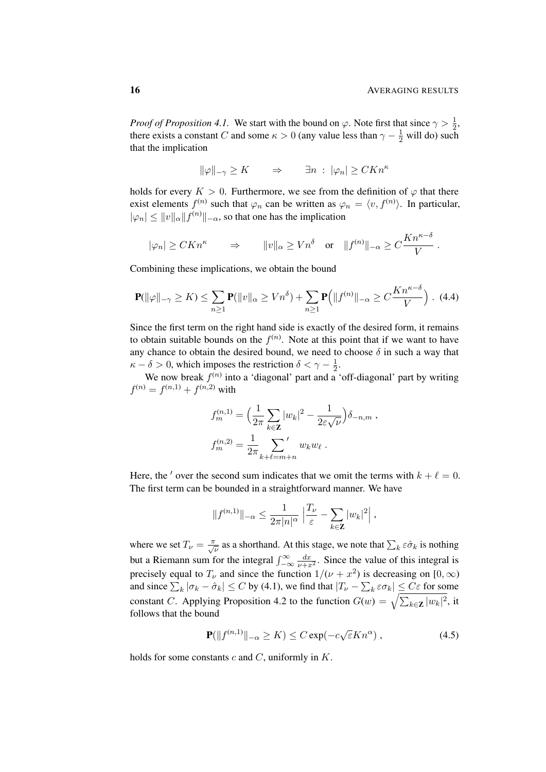*Proof of Proposition 4.1.* We start with the bound on  $\varphi$ . Note first that since  $\gamma > \frac{1}{2}$ , there exists a constant C and some  $\kappa > 0$  (any value less than  $\gamma - \frac{1}{2}$  will do) such that the implication

$$
\|\varphi\|_{-\gamma} \ge K \qquad \Rightarrow \qquad \exists n \; : \; |\varphi_n| \ge CKn^{\kappa}
$$

holds for every  $K > 0$ . Furthermore, we see from the definition of  $\varphi$  that there exist elements  $f^{(n)}$  such that  $\varphi_n$  can be written as  $\varphi_n = \langle v, f^{(n)} \rangle$ . In particular,  $|\varphi_n| \leq ||v||_{\alpha} ||f^{(n)}||_{-\alpha}$ , so that one has the implication

$$
|\varphi_n| \geq CKn^{\kappa} \qquad \Rightarrow \qquad ||v||_{\alpha} \geq Vn^{\delta} \quad \text{or} \quad ||f^{(n)}||_{-\alpha} \geq C\frac{Kn^{\kappa-\delta}}{V}.
$$

Combining these implications, we obtain the bound

$$
\mathbf{P}(\|\varphi\|_{-\gamma} \ge K) \le \sum_{n\ge 1} \mathbf{P}(\|v\|_{\alpha} \ge Vn^{\delta}) + \sum_{n\ge 1} \mathbf{P}(\|f^{(n)}\|_{-\alpha} \ge C\frac{Kn^{\kappa-\delta}}{V}) \quad (4.4)
$$

Since the first term on the right hand side is exactly of the desired form, it remains to obtain suitable bounds on the  $f^{(n)}$ . Note at this point that if we want to have any chance to obtain the desired bound, we need to choose  $\delta$  in such a way that  $\kappa - \delta > 0$ , which imposes the restriction  $\delta < \gamma - \frac{1}{2}$  $rac{1}{2}$ .

We now break  $f^{(n)}$  into a 'diagonal' part and a 'off-diagonal' part by writing  $f^{(n)} = f^{(n,1)} + f^{(n,2)}$  with

$$
f_m^{(n,1)} = \left(\frac{1}{2\pi} \sum_{k \in \mathbb{Z}} |w_k|^2 - \frac{1}{2\varepsilon\sqrt{\nu}}\right) \delta_{-n,m},
$$
  

$$
f_m^{(n,2)} = \frac{1}{2\pi} \sum_{k+\ell=m+n} w_k w_\ell.
$$

Here, the ' over the second sum indicates that we omit the terms with  $k + \ell = 0$ . The first term can be bounded in a straightforward manner. We have

$$
||f^{(n,1)}||_{-\alpha} \leq \frac{1}{2\pi |n|^{\alpha}} \left| \frac{T_{\nu}}{\varepsilon} - \sum_{k \in \mathbf{Z}} |w_k|^2 \right|,
$$

where we set  $T_{\nu} = \frac{\pi}{\sqrt{\nu}}$  as a shorthand. At this stage, we note that  $\sum_{k} \varepsilon \hat{\sigma}_k$  is nothing but a Riemann sum for the integral  $\int_{-\infty}^{\infty} \frac{dx}{\nu + x^2}$ . Since the value of this integral is precisely equal to  $T_{\nu}$  and since the function  $1/(\nu + x^2)$  is decreasing on  $[0, \infty)$ and since  $\sum_k |\sigma_k - \hat{\sigma}_k| \le C$  by (4.1), we find that  $|T_\nu - \sum_k \varepsilon \sigma_k| \le C \varepsilon$  for some constant C. Applying Proposition 4.2 to the function  $G(w) = \sqrt{\sum_{k \in \mathbf{Z}} |w_k|^2}$ , it follows that the bound

$$
\mathbf{P}(\|f^{(n,1)}\|_{-\alpha} \ge K) \le C \exp(-c\sqrt{\varepsilon}Kn^{\alpha}), \qquad (4.5)
$$

holds for some constants  $c$  and  $C$ , uniformly in  $K$ .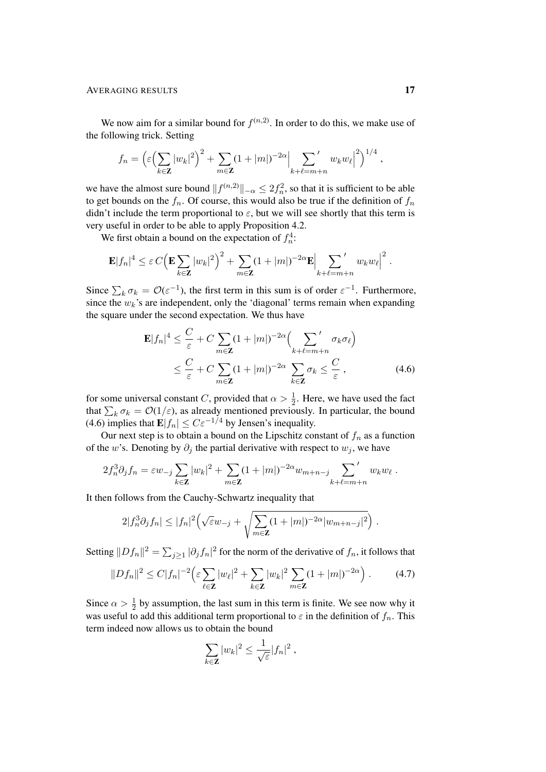#### AVERAGING RESULTS 17

We now aim for a similar bound for  $f^{(n,2)}$ . In order to do this, we make use of the following trick. Setting

$$
f_n = \left(\varepsilon \left(\sum_{k \in \mathbf{Z}} |w_k|^2\right)^2 + \sum_{m \in \mathbf{Z}} (1+|m|)^{-2\alpha} \left|\sum_{k+\ell=m+n} w_k w_\ell\right|^2\right)^{1/4},
$$

we have the almost sure bound  $||f^{(n,2)}||_{-\alpha} \le 2f_n^2$ , so that it is sufficient to be able to get bounds on the  $f_n$ . Of course, this would also be true if the definition of  $f_n$ didn't include the term proportional to  $\varepsilon$ , but we will see shortly that this term is very useful in order to be able to apply Proposition 4.2.

We first obtain a bound on the expectation of  $f_n^4$ :

$$
\mathbf{E}|f_n|^4 \leq \varepsilon C \Big( \mathbf{E} \sum_{k \in \mathbf{Z}} |w_k|^2 \Big)^2 + \sum_{m \in \mathbf{Z}} (1+|m|)^{-2\alpha} \mathbf{E} \Big| \sum_{k+\ell=m+n} w_k w_\ell \Big|^2.
$$

Since  $\sum_k \sigma_k = \mathcal{O}(\varepsilon^{-1})$ , the first term in this sum is of order  $\varepsilon^{-1}$ . Furthermore, since the  $w_k$ 's are independent, only the 'diagonal' terms remain when expanding the square under the second expectation. We thus have

$$
\mathbf{E}|f_n|^4 \leq \frac{C}{\varepsilon} + C \sum_{m \in \mathbf{Z}} (1+|m|)^{-2\alpha} \Big( \sum_{k+\ell=m+n}^{\prime} \sigma_k \sigma_\ell \Big) \leq \frac{C}{\varepsilon} + C \sum_{m \in \mathbf{Z}} (1+|m|)^{-2\alpha} \sum_{k \in \mathbf{Z}} \sigma_k \leq \frac{C}{\varepsilon},
$$
(4.6)

for some universal constant C, provided that  $\alpha > \frac{1}{2}$ . Here, we have used the fact that  $\sum_k \sigma_k = \mathcal{O}(1/\varepsilon)$ , as already mentioned previously. In particular, the bound (4.6) implies that  $\mathbf{E}|f_n| \leq C \varepsilon^{-1/4}$  by Jensen's inequality.

Our next step is to obtain a bound on the Lipschitz constant of  $f_n$  as a function of the w's. Denoting by  $\partial_i$  the partial derivative with respect to  $w_i$ , we have

$$
2f_n^3 \partial_j f_n = \varepsilon w_{-j} \sum_{k \in \mathbf{Z}} |w_k|^2 + \sum_{m \in \mathbf{Z}} (1+|m|)^{-2\alpha} w_{m+n-j} \sum_{k+\ell=m+n} w_k w_{\ell}.
$$

It then follows from the Cauchy-Schwartz inequality that

$$
2|f_n^3 \partial_j f_n| \leq |f_n|^2 \Big(\sqrt{\varepsilon} w_{-j} + \sqrt{\sum_{m \in \mathbf{Z}} (1+|m|)^{-2\alpha} |w_{m+n-j}|^2}\Big) .
$$

Setting  $||Df_n||^2 = \sum_{j\geq 1} |\partial_j f_n|^2$  for the norm of the derivative of  $f_n$ , it follows that

$$
||Df_n||^2 \le C|f_n|^{-2} \Big( \varepsilon \sum_{\ell \in \mathbf{Z}} |w_{\ell}|^2 + \sum_{k \in \mathbf{Z}} |w_k|^2 \sum_{m \in \mathbf{Z}} (1+|m|)^{-2\alpha} \Big) . \tag{4.7}
$$

Since  $\alpha > \frac{1}{2}$  by assumption, the last sum in this term is finite. We see now why it was useful to add this additional term proportional to  $\varepsilon$  in the definition of  $f_n$ . This term indeed now allows us to obtain the bound

$$
\sum_{k\in\mathbf{Z}}|w_k|^2\leq\frac{1}{\sqrt{\varepsilon}}|f_n|^2,
$$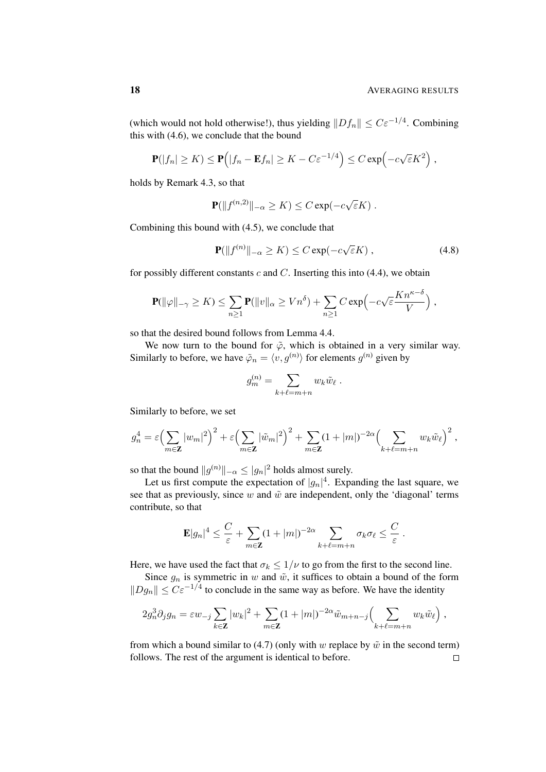(which would not hold otherwise!), thus yielding  $||Df_n|| \leq C \varepsilon^{-1/4}$ . Combining this with (4.6), we conclude that the bound

$$
\mathbf{P}(|f_n| \ge K) \le \mathbf{P}(|f_n - \mathbf{E} f_n| \ge K - C \varepsilon^{-1/4}) \le C \exp(-c\sqrt{\varepsilon}K^2),
$$

holds by Remark 4.3, so that

$$
\mathbf{P}(\|f^{(n,2)}\|_{-\alpha} \geq K) \leq C \exp(-c\sqrt{\varepsilon}K) .
$$

Combining this bound with (4.5), we conclude that

$$
\mathbf{P}(\|f^{(n)}\|_{-\alpha} \ge K) \le C \exp(-c\sqrt{\varepsilon}K) ,\qquad(4.8)
$$

for possibly different constants  $c$  and  $C$ . Inserting this into (4.4), we obtain

$$
\mathbf{P}(\|\varphi\|_{-\gamma} \geq K) \leq \sum_{n\geq 1} \mathbf{P}(\|v\|_{\alpha} \geq Vn^{\delta}) + \sum_{n\geq 1} C \exp\left(-c\sqrt{\varepsilon} \frac{Kn^{\kappa-\delta}}{V}\right),
$$

so that the desired bound follows from Lemma 4.4.

We now turn to the bound for  $\tilde{\varphi}$ , which is obtained in a very similar way. Similarly to before, we have  $\tilde{\varphi}_n = \langle v, g^{(n)} \rangle$  for elements  $g^{(n)}$  given by

$$
g_m^{(n)} = \sum_{k+\ell=m+n} w_k \tilde{w}_{\ell} .
$$

Similarly to before, we set

$$
g_n^4 = \varepsilon \Big( \sum_{m \in \mathbf{Z}} |w_m|^2 \Big)^2 + \varepsilon \Big( \sum_{m \in \mathbf{Z}} |\tilde{w}_m|^2 \Big)^2 + \sum_{m \in \mathbf{Z}} (1 + |m|)^{-2\alpha} \Big( \sum_{k+\ell=m+n} w_k \tilde{w}_\ell \Big)^2,
$$

so that the bound  $||g^{(n)}||_{-\alpha} \leq |g_n|^2$  holds almost surely.

Let us first compute the expectation of  $|g_n|^4$ . Expanding the last square, we see that as previously, since w and  $\tilde{w}$  are independent, only the 'diagonal' terms contribute, so that

$$
\mathbf{E}|g_n|^4 \leq \frac{C}{\varepsilon} + \sum_{m \in \mathbf{Z}} (1+|m|)^{-2\alpha} \sum_{k+\ell=m+n} \sigma_k \sigma_\ell \leq \frac{C}{\varepsilon}.
$$

Here, we have used the fact that  $\sigma_k \leq 1/\nu$  to go from the first to the second line.

Since  $g_n$  is symmetric in w and  $\tilde{w}$ , it suffices to obtain a bound of the form  $||Dg_n|| \leq C \varepsilon^{-1/4}$  to conclude in the same way as before. We have the identity

$$
2g_n^3 \partial_j g_n = \varepsilon w_{-j} \sum_{k \in \mathbf{Z}} |w_k|^2 + \sum_{m \in \mathbf{Z}} (1+|m|)^{-2\alpha} \tilde{w}_{m+n-j} \Big(\sum_{k+\ell=m+n} w_k \tilde{w}_\ell\Big) ,
$$

from which a bound similar to (4.7) (only with w replace by  $\tilde{w}$  in the second term) follows. The rest of the argument is identical to before. $\Box$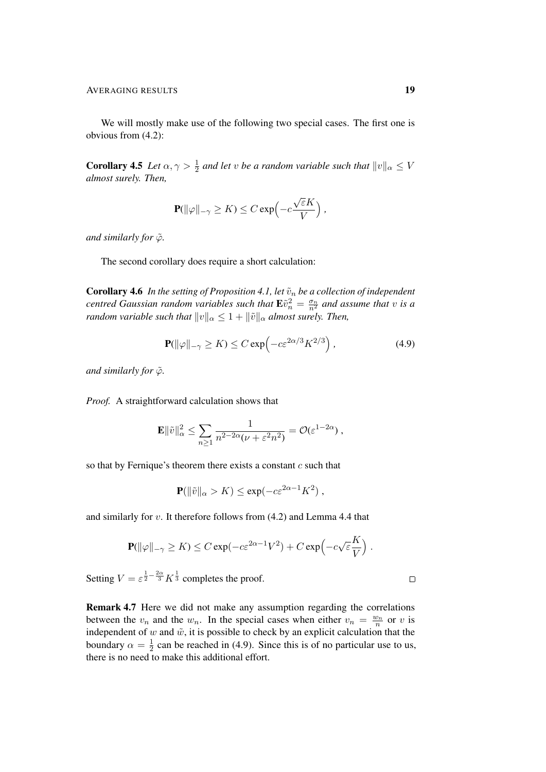We will mostly make use of the following two special cases. The first one is obvious from (4.2):

**Corollary 4.5** *Let*  $\alpha, \gamma > \frac{1}{2}$  *and let* v *be a random variable such that*  $||v||_{\alpha} \leq V$ *almost surely. Then,*

$$
\mathbf{P}(\|\varphi\|_{-\gamma} \geq K) \leq C \exp\left(-c\frac{\sqrt{\varepsilon}K}{V}\right),\,
$$

*and similarly for*  $\tilde{\varphi}$ *.* 

The second corollary does require a short calculation:

**Corollary 4.6** *In the setting of Proposition 4.1, let*  $\tilde{v}_n$  *be a collection of independent centred Gaussian random variables such that*  $\mathbf{E}\tilde{v}_n^2 = \frac{\sigma_n}{n^2}$  and assume that v is a *random variable such that*  $||v||_{\alpha} \leq 1 + ||\tilde{v}||_{\alpha}$  *almost surely. Then,* 

$$
\mathbf{P}(\|\varphi\|_{-\gamma} \ge K) \le C \exp\left(-c\varepsilon^{2\alpha/3} K^{2/3}\right),\tag{4.9}
$$

*and similarly for*  $\tilde{\varphi}$ *.* 

*Proof.* A straightforward calculation shows that

$$
\mathbf{E} \|\tilde{v}\|_{\alpha}^2 \leq \sum_{n\geq 1} \frac{1}{n^{2-2\alpha}(\nu+\varepsilon^2 n^2)} = \mathcal{O}(\varepsilon^{1-2\alpha}) ,
$$

so that by Fernique's theorem there exists a constant  $c$  such that

$$
\mathbf{P}(\|\tilde{v}\|_{\alpha} > K) \le \exp(-c\varepsilon^{2\alpha - 1} K^2) ,
$$

and similarly for v. It therefore follows from (4.2) and Lemma 4.4 that

$$
\mathbf{P}(\|\varphi\|_{-\gamma} \geq K) \leq C \exp(-c \varepsilon^{2\alpha - 1} V^2) + C \exp(-c \sqrt{\varepsilon} \frac{K}{V}).
$$

Setting  $V = \varepsilon^{\frac{1}{2} - \frac{2\alpha}{3}} K^{\frac{1}{3}}$  completes the proof.

Remark 4.7 Here we did not make any assumption regarding the correlations between the  $v_n$  and the  $w_n$ . In the special cases when either  $v_n = \frac{w_n}{n}$  or v is independent of w and  $\tilde{w}$ , it is possible to check by an explicit calculation that the boundary  $\alpha = \frac{1}{2}$  $\frac{1}{2}$  can be reached in (4.9). Since this is of no particular use to us, there is no need to make this additional effort.

 $\Box$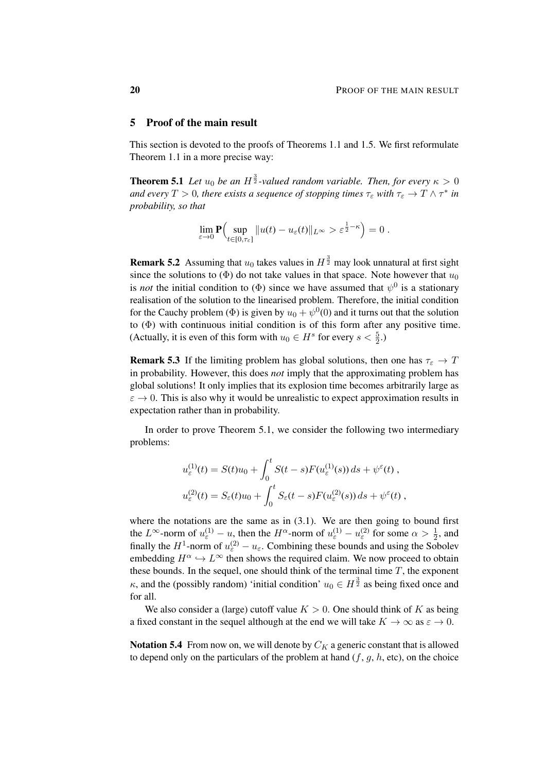#### 5 Proof of the main result

This section is devoted to the proofs of Theorems 1.1 and 1.5. We first reformulate Theorem 1.1 in a more precise way:

**Theorem 5.1** Let  $u_0$  be an  $H^{\frac{3}{2}}$ -valued random variable. Then, for every  $\kappa > 0$ and every  $T > 0$ , there exists a sequence of stopping times  $\tau_{\varepsilon}$  with  $\tau_{\varepsilon} \to T \wedge \tau^*$  in *probability, so that*

$$
\lim_{\varepsilon \to 0} \mathbf{P}\Big( \sup_{t \in [0,\tau_{\varepsilon}]} \|u(t) - u_{\varepsilon}(t)\|_{L^{\infty}} > \varepsilon^{\frac{1}{2} - \kappa} \Big) = 0.
$$

**Remark 5.2** Assuming that  $u_0$  takes values in  $H^{\frac{3}{2}}$  may look unnatural at first sight since the solutions to ( $\Phi$ ) do not take values in that space. Note however that  $u_0$ is *not* the initial condition to  $(\Phi)$  since we have assumed that  $\psi^0$  is a stationary realisation of the solution to the linearised problem. Therefore, the initial condition for the Cauchy problem ( $\Phi$ ) is given by  $u_0 + \psi^0(0)$  and it turns out that the solution to (Φ) with continuous initial condition is of this form after any positive time. (Actually, it is even of this form with  $u_0 \in H^s$  for every  $s < \frac{5}{2}$ .)

**Remark 5.3** If the limiting problem has global solutions, then one has  $\tau_{\epsilon} \to T$ in probability. However, this does *not* imply that the approximating problem has global solutions! It only implies that its explosion time becomes arbitrarily large as  $\varepsilon \to 0$ . This is also why it would be unrealistic to expect approximation results in expectation rather than in probability.

In order to prove Theorem 5.1, we consider the following two intermediary problems:

$$
u_{\varepsilon}^{(1)}(t) = S(t)u_0 + \int_0^t S(t-s)F(u_{\varepsilon}^{(1)}(s)) ds + \psi^{\varepsilon}(t) ,
$$
  

$$
u_{\varepsilon}^{(2)}(t) = S_{\varepsilon}(t)u_0 + \int_0^t S_{\varepsilon}(t-s)F(u_{\varepsilon}^{(2)}(s)) ds + \psi^{\varepsilon}(t) ,
$$

where the notations are the same as in  $(3.1)$ . We are then going to bound first the  $L^{\infty}$ -norm of  $u_{\varepsilon}^{(1)} - u_{\varepsilon}$ , then the  $H^{\alpha}$ -norm of  $u_{\varepsilon}^{(1)} - u_{\varepsilon}^{(2)}$  for some  $\alpha > \frac{1}{2}$ , and finally the  $H^1$ -norm of  $u_{\varepsilon}^{(2)} - u_{\varepsilon}$ . Combining these bounds and using the Sobolev embedding  $H^{\alpha} \hookrightarrow L^{\infty}$  then shows the required claim. We now proceed to obtain these bounds. In the sequel, one should think of the terminal time  $T$ , the exponent  $\kappa$ , and the (possibly random) 'initial condition'  $u_0 \in H^{\frac{3}{2}}$  as being fixed once and for all.

We also consider a (large) cutoff value  $K > 0$ . One should think of K as being a fixed constant in the sequel although at the end we will take  $K \to \infty$  as  $\varepsilon \to 0$ .

Notation 5.4 From now on, we will denote by  $C_K$  a generic constant that is allowed to depend only on the particulars of the problem at hand  $(f, g, h, \text{etc})$ , on the choice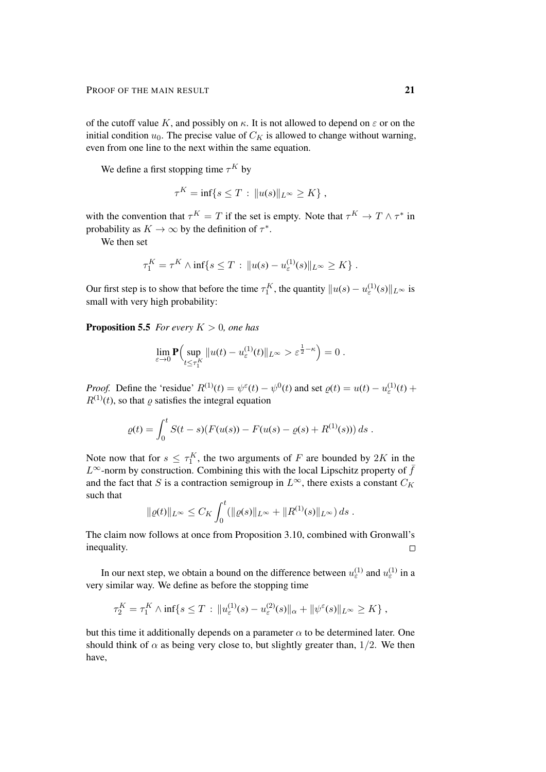of the cutoff value K, and possibly on  $\kappa$ . It is not allowed to depend on  $\varepsilon$  or on the initial condition  $u_0$ . The precise value of  $C_K$  is allowed to change without warning, even from one line to the next within the same equation.

We define a first stopping time  $\tau^K$  by

$$
\tau^K = \inf\{s \leq T : ||u(s)||_{L^\infty} \geq K\},\,
$$

with the convention that  $\tau^K = T$  if the set is empty. Note that  $\tau^K \to T \wedge \tau^*$  in probability as  $K \to \infty$  by the definition of  $\tau^*$ .

We then set

$$
\tau_1^K = \tau^K \wedge \inf\{s \leq T : ||u(s) - u_{\varepsilon}^{(1)}(s)||_{L^{\infty}} \geq K\}.
$$

Our first step is to show that before the time  $\tau_1^K$ , the quantity  $||u(s) - u_\varepsilon^{(1)}(s)||_{L^\infty}$  is small with very high probability:

**Proposition 5.5** *For every*  $K > 0$ *, one has* 

$$
\lim_{\varepsilon \to 0} \mathbf{P} \Big( \sup_{t \le \tau_1^K} \| u(t) - u_{\varepsilon}^{(1)}(t) \|_{L^\infty} > \varepsilon^{\frac{1}{2} - \kappa} \Big) = 0 \; .
$$

*Proof.* Define the 'residue'  $R^{(1)}(t) = \psi^{\epsilon}(t) - \psi^{0}(t)$  and set  $\varrho(t) = u(t) - u_{\epsilon}^{(1)}(t) + \psi^{0}(t)$  $R^{(1)}(t)$ , so that  $\varrho$  satisfies the integral equation

$$
\varrho(t) = \int_0^t S(t-s) (F(u(s)) - F(u(s) - \varrho(s) + R^{(1)}(s))) ds.
$$

Note now that for  $s \leq \tau_1^K$ , the two arguments of F are bounded by 2K in the L<sup>∞</sup>-norm by construction. Combining this with the local Lipschitz property of  $\bar{f}$ and the fact that S is a contraction semigroup in  $L^{\infty}$ , there exists a constant  $C_K$ such that

$$
\|\varrho(t)\|_{L^{\infty}} \leq C_K \int_0^t (\|\varrho(s)\|_{L^{\infty}} + \|R^{(1)}(s)\|_{L^{\infty}}) ds.
$$

The claim now follows at once from Proposition 3.10, combined with Gronwall's inequality.  $\Box$ 

In our next step, we obtain a bound on the difference between  $u_{\varepsilon}^{(1)}$  and  $u_{\varepsilon}^{(1)}$  in a very similar way. We define as before the stopping time

$$
\tau_2^K = \tau_1^K \wedge \inf \{ s \leq T \, : \, \|u_{\varepsilon}^{(1)}(s) - u_{\varepsilon}^{(2)}(s)\|_{\alpha} + \|\psi^{\varepsilon}(s)\|_{L^{\infty}} \geq K \} ,
$$

but this time it additionally depends on a parameter  $\alpha$  to be determined later. One should think of  $\alpha$  as being very close to, but slightly greater than, 1/2. We then have,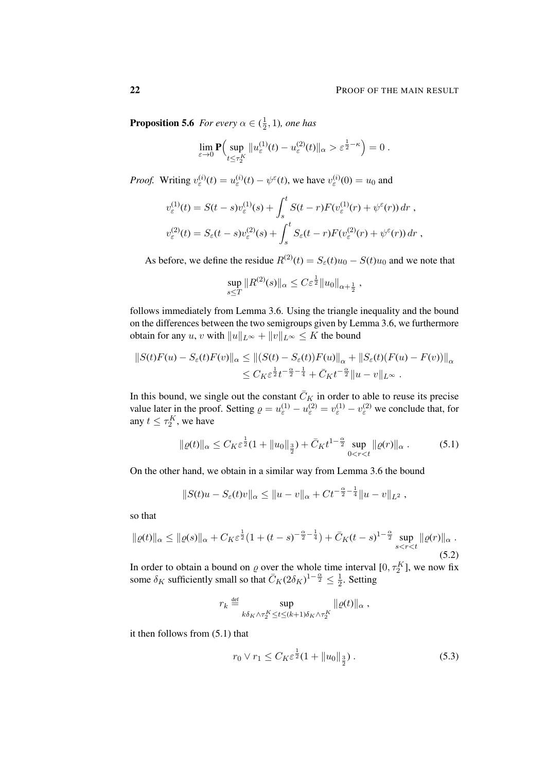**Proposition 5.6** For every  $\alpha \in (\frac{1}{2})$  $\frac{1}{2}$ , 1)*, one has* 

$$
\lim_{\varepsilon \to 0} \mathbf{P} \Big( \sup_{t \le \tau_2^K} ||u_{\varepsilon}^{(1)}(t) - u_{\varepsilon}^{(2)}(t)||_{\alpha} > \varepsilon^{\frac{1}{2} - \kappa} \Big) = 0.
$$

*Proof.* Writing  $v_{\varepsilon}^{(i)}(t) = u_{\varepsilon}^{(i)}(t) - \psi^{\varepsilon}(t)$ , we have  $v_{\varepsilon}^{(i)}(0) = u_0$  and

$$
v_{\varepsilon}^{(1)}(t) = S(t-s)v_{\varepsilon}^{(1)}(s) + \int_{s}^{t} S(t-r)F(v_{\varepsilon}^{(1)}(r) + \psi^{\varepsilon}(r)) dr ,
$$
  

$$
v_{\varepsilon}^{(2)}(t) = S_{\varepsilon}(t-s)v_{\varepsilon}^{(2)}(s) + \int_{s}^{t} S_{\varepsilon}(t-r)F(v_{\varepsilon}^{(2)}(r) + \psi^{\varepsilon}(r)) dr ,
$$

As before, we define the residue  $R^{(2)}(t) = S_{\varepsilon}(t)u_0 - S(t)u_0$  and we note that

$$
\sup_{s\leq T} \|R^{(2)}(s)\|_{\alpha} \leq C\varepsilon^{\frac{1}{2}} \|u_0\|_{\alpha + \frac{1}{2}} ,
$$

follows immediately from Lemma 3.6. Using the triangle inequality and the bound on the differences between the two semigroups given by Lemma 3.6, we furthermore obtain for any u, v with  $||u||_{L^{\infty}} + ||v||_{L^{\infty}} \leq K$  the bound

$$
||S(t)F(u) - S_{\varepsilon}(t)F(v)||_{\alpha} \le ||(S(t) - S_{\varepsilon}(t))F(u)||_{\alpha} + ||S_{\varepsilon}(t)(F(u) - F(v))||_{\alpha}
$$
  

$$
\le C_K \varepsilon^{\frac{1}{2}} t^{-\frac{\alpha}{2} - \frac{1}{4}} + \bar{C}_K t^{-\frac{\alpha}{2}} ||u - v||_{L^{\infty}}.
$$

In this bound, we single out the constant  $\bar{C}_K$  in order to able to reuse its precise value later in the proof. Setting  $\rho = u_{\varepsilon}^{(1)} - u_{\varepsilon}^{(2)} = v_{\varepsilon}^{(1)} - v_{\varepsilon}^{(2)}$  we conclude that, for any  $t \leq \tau_2^K$ , we have

$$
\|\varrho(t)\|_{\alpha} \leq C_K \varepsilon^{\frac{1}{2}} (1 + \|u_0\|_{\frac{3}{2}}) + \bar{C}_K t^{1-\frac{\alpha}{2}} \sup_{0 < r < t} \|\varrho(r)\|_{\alpha} \,. \tag{5.1}
$$

On the other hand, we obtain in a similar way from Lemma 3.6 the bound

$$
||S(t)u - S_{\varepsilon}(t)v||_{\alpha} \le ||u - v||_{\alpha} + Ct^{-\frac{\alpha}{2} - \frac{1}{4}}||u - v||_{L^{2}},
$$

so that

$$
\|\varrho(t)\|_{\alpha} \le \|\varrho(s)\|_{\alpha} + C_{K}\varepsilon^{\frac{1}{2}}(1 + (t - s)^{-\frac{\alpha}{2} - \frac{1}{4}}) + \bar{C}_{K}(t - s)^{1 - \frac{\alpha}{2}} \sup_{s < r < t} \|\varrho(r)\|_{\alpha}.
$$
\n(5.2)

In order to obtain a bound on  $\varrho$  over the whole time interval  $[0, \tau_2^K]$ , we now fix some  $\delta_K$  sufficiently small so that  $\overline{C}_K(2\delta_K)^{1-\frac{\alpha}{2}} \leq \frac{1}{2}$  $\frac{1}{2}$ . Setting

$$
r_k \stackrel{\text{def}}{=} \sup_{k\delta_K \wedge \tau_2^K \le t \le (k+1)\delta_K \wedge \tau_2^K} \| \varrho(t) \|_{\alpha} ,
$$

it then follows from (5.1) that

$$
r_0 \vee r_1 \le C_K \varepsilon^{\frac{1}{2}} (1 + \|u_0\|_{\frac{3}{2}}) \,. \tag{5.3}
$$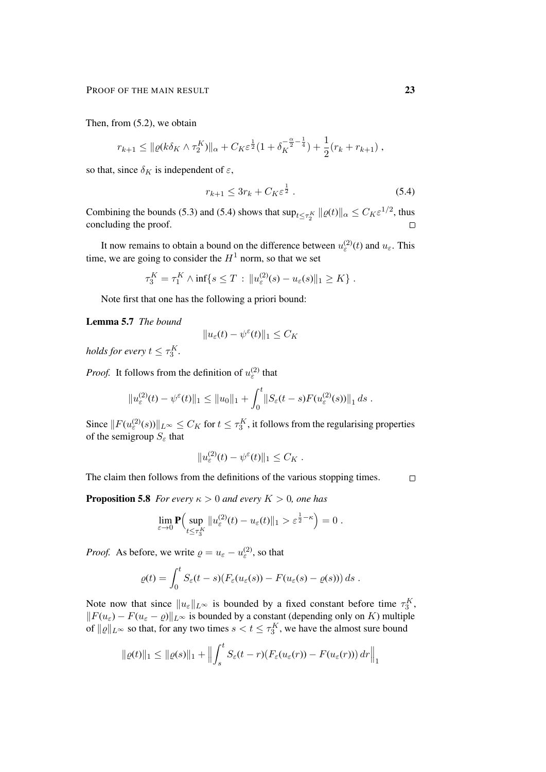Then, from (5.2), we obtain

$$
r_{k+1} \leq \|\varrho(k\delta_K \wedge \tau_2^K)\|_{\alpha} + C_K \varepsilon^{\frac{1}{2}} (1 + \delta_K^{-\frac{\alpha}{2} - \frac{1}{4}}) + \frac{1}{2} (r_k + r_{k+1}),
$$

so that, since  $\delta_K$  is independent of  $\varepsilon$ ,

$$
r_{k+1} \le 3r_k + C_K \varepsilon^{\frac{1}{2}} . \tag{5.4}
$$

Combining the bounds (5.3) and (5.4) shows that  $\sup_{t \leq \tau_2^K} ||\varrho(t)||_{\alpha} \leq C_K \varepsilon^{1/2}$ , thus concluding the proof.  $\Box$ 

It now remains to obtain a bound on the difference between  $u_{\varepsilon}^{(2)}(t)$  and  $u_{\varepsilon}$ . This time, we are going to consider the  $H<sup>1</sup>$  norm, so that we set

$$
\tau_3^K = \tau_1^K \wedge \inf \{ s \leq T : ||u_{\varepsilon}^{(2)}(s) - u_{\varepsilon}(s)||_1 \geq K \} .
$$

Note first that one has the following a priori bound:

Lemma 5.7 *The bound*

$$
||u_{\varepsilon}(t) - \psi^{\varepsilon}(t)||_1 \leq C_K
$$

*holds for every*  $t \leq \tau_3^K$ .

*Proof.* It follows from the definition of  $u_{\varepsilon}^{(2)}$  that

$$
||u_{\varepsilon}^{(2)}(t) - \psi^{\varepsilon}(t)||_1 \leq ||u_0||_1 + \int_0^t ||S_{\varepsilon}(t-s)F(u_{\varepsilon}^{(2)}(s))||_1 ds.
$$

Since  $||F(u^{(2)}_{\varepsilon}(s))||_{L^{\infty}} \leq C_K$  for  $t \leq \tau_3^K$ , it follows from the regularising properties of the semigroup  $S_{\varepsilon}$  that

$$
||u_{\varepsilon}^{(2)}(t) - \psi^{\varepsilon}(t)||_1 \leq C_K.
$$

The claim then follows from the definitions of the various stopping times.  $\Box$ 

**Proposition 5.8** *For every*  $\kappa > 0$  *and every*  $K > 0$ *, one has* 

$$
\lim_{\varepsilon \to 0} \mathbf{P} \Big( \sup_{t \le \tau_3^K} \| u_{\varepsilon}^{(2)}(t) - u_{\varepsilon}(t) \|_1 > \varepsilon^{\frac{1}{2} - \kappa} \Big) = 0.
$$

*Proof.* As before, we write  $\rho = u_{\varepsilon} - u_{\varepsilon}^{(2)}$ , so that

$$
\varrho(t) = \int_0^t S_\varepsilon(t-s) (F_\varepsilon(u_\varepsilon(s)) - F(u_\varepsilon(s) - \varrho(s))) ds.
$$

Note now that since  $||u_{\varepsilon}||_{L^{\infty}}$  is bounded by a fixed constant before time  $\tau_3^K$ ,  $||F(u_{\varepsilon}) - F(u_{\varepsilon} - \varrho)||_{L^{\infty}}$  is bounded by a constant (depending only on K) multiple of  $||\varrho||_{L^{\infty}}$  so that, for any two times  $s < t \leq \tau_3^K$ , we have the almost sure bound

$$
\|\varrho(t)\|_1 \le \|\varrho(s)\|_1 + \left\|\int_s^t S_\varepsilon(t-r)(F_\varepsilon(u_\varepsilon(r)) - F(u_\varepsilon(r)))\,dr\right\|_1
$$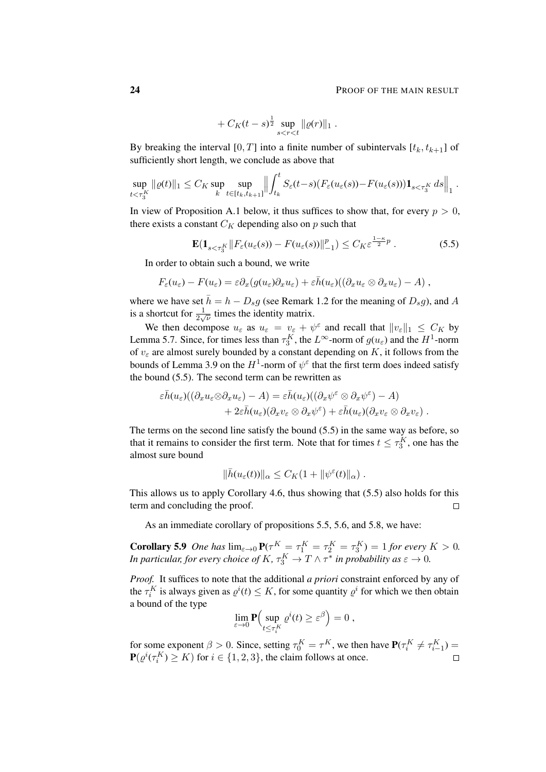#### 24 **PROOF OF THE MAIN RESULT**

$$
+ C_K(t-s)^{\frac{1}{2}} \sup_{s < r < t} \|\varrho(r)\|_1.
$$

By breaking the interval [0, T] into a finite number of subintervals  $[t_k, t_{k+1}]$  of sufficiently short length, we conclude as above that

$$
\sup_{t<\tau_3^K} \| \varrho(t) \|_1 \leq C_K \sup_k \sup_{t\in [t_k,t_{k+1}]} \left\| \int_{t_k}^t S_\varepsilon(t-s) (F_\varepsilon(u_\varepsilon(s)) - F(u_\varepsilon(s))) \mathbf{1}_{s<\tau_3^K} ds \right\|_1.
$$

In view of Proposition A.1 below, it thus suffices to show that, for every  $p > 0$ , there exists a constant  $C_K$  depending also on p such that

$$
\mathbf{E}(\mathbf{1}_{s<\tau_3^K}||F_{\varepsilon}(u_{\varepsilon}(s)) - F(u_{\varepsilon}(s))||_{-1}^p) \le C_K \varepsilon^{\frac{1-\kappa}{2}p}.
$$
 (5.5)

In order to obtain such a bound, we write

$$
F_{\varepsilon}(u_{\varepsilon}) - F(u_{\varepsilon}) = \varepsilon \partial_x (g(u_{\varepsilon}) \partial_x u_{\varepsilon}) + \varepsilon \bar{h}(u_{\varepsilon}) ((\partial_x u_{\varepsilon} \otimes \partial_x u_{\varepsilon}) - A) ,
$$

where we have set  $\bar{h} = h - D_s g$  (see Remark 1.2 for the meaning of  $D_s g$ ), and A is a shortcut for  $\frac{1}{2\sqrt{\nu}}$  times the identity matrix.

We then decompose  $u_{\varepsilon}$  as  $u_{\varepsilon} = v_{\varepsilon} + \psi^{\varepsilon}$  and recall that  $||v_{\varepsilon}||_1 \leq C_K$  by Lemma 5.7. Since, for times less than  $\tau_3^K$ , the  $L^{\infty}$ -norm of  $g(u_{\varepsilon})$  and the  $H^1$ -norm of  $v_{\varepsilon}$  are almost surely bounded by a constant depending on K, it follows from the bounds of Lemma 3.9 on the  $H^1$ -norm of  $\psi^{\epsilon}$  that the first term does indeed satisfy the bound (5.5). The second term can be rewritten as

$$
\varepsilon \bar{h}(u_{\varepsilon})((\partial_x u_{\varepsilon} \otimes \partial_x u_{\varepsilon}) - A) = \varepsilon \bar{h}(u_{\varepsilon})((\partial_x \psi^{\varepsilon} \otimes \partial_x \psi^{\varepsilon}) - A) + 2\varepsilon \bar{h}(u_{\varepsilon})(\partial_x v_{\varepsilon} \otimes \partial_x \psi^{\varepsilon}) + \varepsilon \bar{h}(u_{\varepsilon})(\partial_x v_{\varepsilon} \otimes \partial_x v_{\varepsilon}).
$$

The terms on the second line satisfy the bound (5.5) in the same way as before, so that it remains to consider the first term. Note that for times  $t \leq \tau_3^K$ , one has the almost sure bound

$$
\|\bar{h}(u_{\varepsilon}(t))\|_{\alpha} \leq C_K(1 + \|\psi^{\varepsilon}(t)\|_{\alpha}).
$$

This allows us to apply Corollary 4.6, thus showing that (5.5) also holds for this term and concluding the proof.  $\Box$ 

As an immediate corollary of propositions 5.5, 5.6, and 5.8, we have:

**Corollary 5.9** *One has*  $\lim_{\varepsilon \to 0} \mathbf{P}(\tau^K = \tau^K_1 = \tau^K_2 = \tau^K_3) = 1$  *for every*  $K > 0$ *. In particular, for every choice of*  $K$ *,*  $\tau_3^K \to T \wedge \tau^*$  *in probability as*  $\varepsilon \to 0$ *.* 

*Proof.* It suffices to note that the additional *a priori* constraint enforced by any of the  $\tau_i^K$  is always given as  $\varrho^i(t) \leq K$ , for some quantity  $\varrho^i$  for which we then obtain a bound of the type

$$
\lim_{\varepsilon \to 0} \mathbf{P} \Big( \sup_{t \le \tau_i^K} \varrho^i(t) \ge \varepsilon^\beta \Big) = 0 ,
$$

for some exponent  $\beta > 0$ . Since, setting  $\tau_0^K = \tau^K$ , we then have  $P(\tau_i^K \neq \tau_{i-1}^K)$  $\mathbf{P}(\varrho^i(\tau^K_i) \geq K)$  for  $i \in \{1, 2, 3\}$ , the claim follows at once.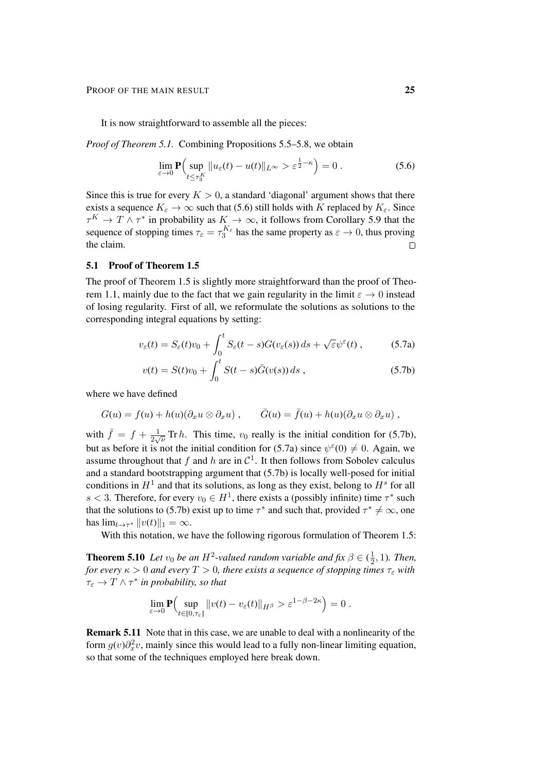It is now straightforward to assemble all the pieces:

*Proof of Theorem 5.1.* Combining Propositions 5.5–5.8, we obtain

$$
\lim_{\varepsilon \to 0} \mathbf{P}\Big( \sup_{t \le \tau_3^K} \|u_{\varepsilon}(t) - u(t)\|_{L^\infty} > \varepsilon^{\frac{1}{2} - \kappa} \Big) = 0 \; . \tag{5.6}
$$

Since this is true for every  $K > 0$ , a standard 'diagonal' argument shows that there exists a sequence  $K_{\varepsilon} \to \infty$  such that (5.6) still holds with K replaced by  $K_{\varepsilon}$ . Since  $\tau^K \to T \wedge \tau^*$  in probability as  $K \to \infty$ , it follows from Corollary 5.9 that the sequence of stopping times  $\tau_{\varepsilon} = \tau_3^{K_{\varepsilon}}$  has the same property as  $\varepsilon \to 0$ , thus proving the claim.  $\Box$ 

#### 5.1 Proof of Theorem 1.5

The proof of Theorem 1.5 is slightly more straightforward than the proof of Theorem 1.1, mainly due to the fact that we gain regularity in the limit  $\varepsilon \to 0$  instead of losing regularity. First of all, we reformulate the solutions as solutions to the corresponding integral equations by setting:

$$
v_{\varepsilon}(t) = S_{\varepsilon}(t)v_0 + \int_0^t S_{\varepsilon}(t-s)G(v_{\varepsilon}(s))\,ds + \sqrt{\varepsilon}\psi^{\varepsilon}(t)\,,\tag{5.7a}
$$

$$
v(t) = S(t)v_0 + \int_0^t S(t-s)\bar{G}(v(s))\,ds\,,\tag{5.7b}
$$

where we have defined

$$
G(u) = f(u) + h(u)(\partial_x u \otimes \partial_x u) , \qquad \overline{G}(u) = \overline{f}(u) + h(u)(\partial_x u \otimes \partial_x u) ,
$$

with  $\bar{f} = f + \frac{1}{2}$  $\frac{1}{2\sqrt{\nu}}$  Tr *h*. This time,  $v_0$  really is the initial condition for (5.7b), but as before it is not the initial condition for (5.7a) since  $\psi^{\epsilon}(0) \neq 0$ . Again, we assume throughout that f and h are in  $\mathcal{C}^1$ . It then follows from Sobolev calculus and a standard bootstrapping argument that (5.7b) is locally well-posed for initial conditions in  $H^1$  and that its solutions, as long as they exist, belong to  $H^s$  for all s < 3. Therefore, for every  $v_0 \in H^1$ , there exists a (possibly infinite) time  $\tau^*$  such that the solutions to (5.7b) exist up to time  $\tau^*$  and such that, provided  $\tau^* \neq \infty$ , one has  $\lim_{t\to\tau^*} ||v(t)||_1 = \infty$ .

With this notation, we have the following rigorous formulation of Theorem 1.5:

**Theorem 5.10** Let  $v_0$  be an  $H^2$ -valued random variable and fix  $\beta \in (\frac{1}{2})$  $\frac{1}{2}$ , 1). Then, *for every*  $\kappa > 0$  *and every*  $T > 0$ *, there exists a sequence of stopping times*  $\tau_{\varepsilon}$  *with*  $\tau_{\varepsilon} \to T \wedge \tau^*$  in probability, so that

$$
\lim_{\varepsilon \to 0} \mathbf{P} \Big( \sup_{t \in [0,\tau_{\varepsilon}]} \|v(t) - v_{\varepsilon}(t)\|_{H^{\beta}} > \varepsilon^{1-\beta-2\kappa} \Big) = 0.
$$

Remark 5.11 Note that in this case, we are unable to deal with a nonlinearity of the form  $g(v)\partial_x^2 v$ , mainly since this would lead to a fully non-linear limiting equation, so that some of the techniques employed here break down.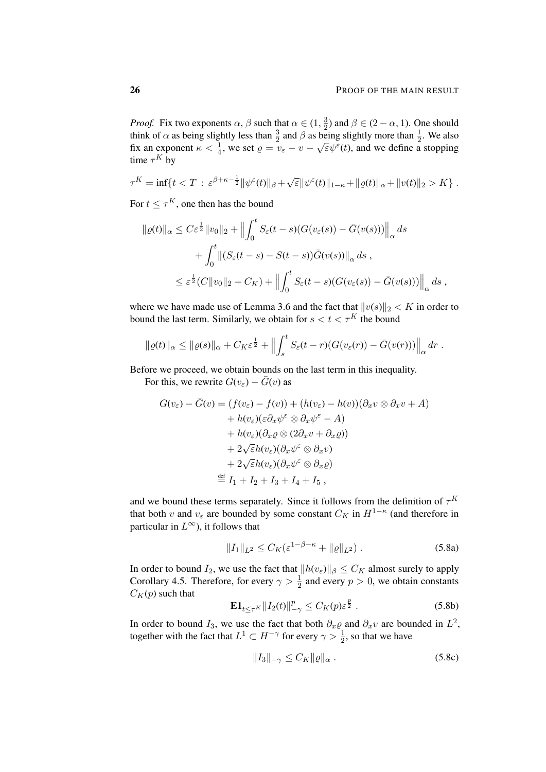*Proof.* Fix two exponents  $\alpha$ ,  $\beta$  such that  $\alpha \in (1, \frac{3}{2})$  $\frac{3}{2}$ ) and  $\beta \in (2 - \alpha, 1)$ . One should think of  $\alpha$  as being slightly less than  $\frac{3}{2}$  and  $\beta$  as being slightly more than  $\frac{1}{2}$ . We also fix an exponent  $\kappa < \frac{1}{4}$ , we set  $\rho = v - \sqrt{\varepsilon} \psi^{\varepsilon}(t)$ , and we define a stopping time  $\tau^K$  by

$$
\tau^K = \inf\{t < T \,:\, \varepsilon^{\beta + \kappa - \frac{1}{2}} \|\psi^\varepsilon(t)\|_{\beta} + \sqrt{\varepsilon} \|\psi^\varepsilon(t)\|_{1-\kappa} + \|\varrho(t)\|_{\alpha} + \|v(t)\|_2 > K\}.
$$

For  $t \leq \tau^K$ , one then has the bound

$$
\|\varrho(t)\|_{\alpha} \leq C\varepsilon^{\frac{1}{2}}\|v_0\|_2 + \left\|\int_0^t S_{\varepsilon}(t-s)(G(v_{\varepsilon}(s)) - \bar{G}(v(s)))\right\|_{\alpha} ds
$$
  
+ 
$$
\int_0^t \left\|(S_{\varepsilon}(t-s) - S(t-s))\bar{G}(v(s))\right\|_{\alpha} ds,
$$
  

$$
\leq \varepsilon^{\frac{1}{2}}(C\|v_0\|_2 + C_K) + \left\|\int_0^t S_{\varepsilon}(t-s)(G(v_{\varepsilon}(s)) - \bar{G}(v(s)))\right\|_{\alpha} ds,
$$

where we have made use of Lemma 3.6 and the fact that  $||v(s)||_2 < K$  in order to bound the last term. Similarly, we obtain for  $s < t < \tau^K$  the bound

$$
\|\varrho(t)\|_{\alpha} \leq \|\varrho(s)\|_{\alpha} + C_K \varepsilon^{\frac{1}{2}} + \left\|\int_s^t S_{\varepsilon}(t-r)(G(v_{\varepsilon}(r)) - \bar{G}(v(r)))\right\|_{\alpha} dr.
$$

Before we proceed, we obtain bounds on the last term in this inequality.

For this, we rewrite  $G(v_{\varepsilon}) - \bar{G}(v)$  as

$$
G(v_{\varepsilon}) - \bar{G}(v) = (f(v_{\varepsilon}) - f(v)) + (h(v_{\varepsilon}) - h(v))(\partial_x v \otimes \partial_x v + A)
$$
  
+  $h(v_{\varepsilon})(\varepsilon \partial_x \psi^{\varepsilon} \otimes \partial_x \psi^{\varepsilon} - A)$   
+  $h(v_{\varepsilon})(\partial_x \varrho \otimes (2\partial_x v + \partial_x \varrho))$   
+  $2\sqrt{\varepsilon}h(v_{\varepsilon})(\partial_x \psi^{\varepsilon} \otimes \partial_x v)$   
+  $2\sqrt{\varepsilon}h(v_{\varepsilon})(\partial_x \psi^{\varepsilon} \otimes \partial_x \varrho)$   
 $\stackrel{\text{def}}{=} I_1 + I_2 + I_3 + I_4 + I_5$ ,

and we bound these terms separately. Since it follows from the definition of  $\tau^K$ that both v and  $v_{\varepsilon}$  are bounded by some constant  $C_K$  in  $H^{1-\kappa}$  (and therefore in particular in  $L^{\infty}$ ), it follows that

$$
||I_1||_{L^2} \le C_K (\varepsilon^{1-\beta-\kappa} + ||\varrho||_{L^2}). \tag{5.8a}
$$

In order to bound I<sub>2</sub>, we use the fact that  $||h(v_{\varepsilon})||_{\beta} \leq C_K$  almost surely to apply Corollary 4.5. Therefore, for every  $\gamma > \frac{1}{2}$  and every  $p > 0$ , we obtain constants  $C_K(p)$  such that

$$
\mathbf{E} \mathbf{1}_{t \le \tau^K} \| I_2(t) \|_{-\gamma}^p \le C_K(p) \varepsilon^{\frac{p}{2}} . \tag{5.8b}
$$

In order to bound  $I_3$ , we use the fact that both  $\partial_x \varrho$  and  $\partial_x v$  are bounded in  $L^2$ , together with the fact that  $L^1 \subset H^{-\gamma}$  for every  $\gamma > \frac{1}{2}$ , so that we have

$$
||I_3||_{-\gamma} \le C_K ||\varrho||_{\alpha} . \tag{5.8c}
$$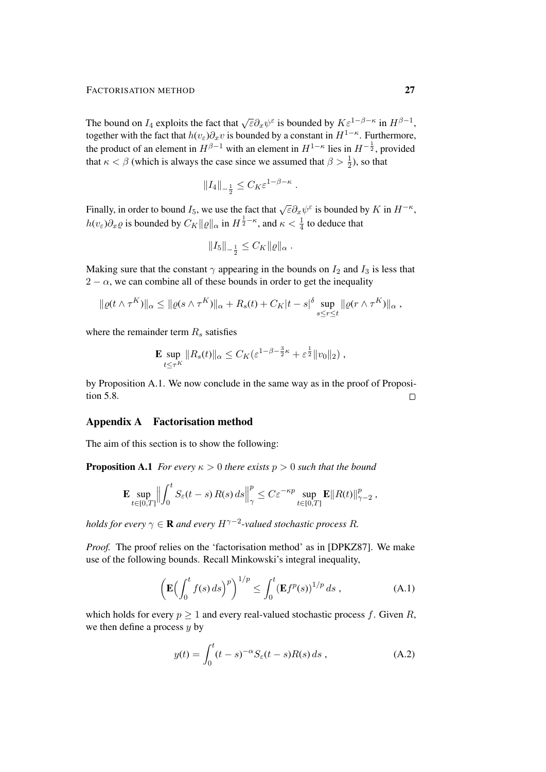The bound on  $I_4$  exploits the fact that  $\sqrt{\varepsilon} \partial_x \psi^{\varepsilon}$  is bounded by  $K \varepsilon^{1-\beta-\kappa}$  in  $H^{\beta-1}$ , together with the fact that  $h(v_{\varepsilon})\partial_x v$  is bounded by a constant in  $H^{1-\kappa}$ . Furthermore, the product of an element in  $H^{\beta-1}$  with an element in  $H^{1-\kappa}$  lies in  $H^{-\frac{1}{2}}$ , provided that  $\kappa < \beta$  (which is always the case since we assumed that  $\beta > \frac{1}{2}$ ), so that

$$
\|I_4\|_{-\frac{1}{2}}\leq C_K\varepsilon^{1-\beta-\kappa}
$$

.

Finally, in order to bound  $I_5$ , we use the fact that  $\sqrt{\varepsilon} \partial_x \psi^{\varepsilon}$  is bounded by  $K$  in  $H^{-\kappa}$ ,  $h(v_{\varepsilon})\partial_x \varrho$  is bounded by  $C_K ||\varrho||_{\alpha}$  in  $H^{\frac{1}{2}-\kappa}$ , and  $\kappa < \frac{1}{4}$  to deduce that

$$
||I_5||_{-\frac{1}{2}} \leq C_K ||\varrho||_{\alpha} .
$$

Making sure that the constant  $\gamma$  appearing in the bounds on  $I_2$  and  $I_3$  is less that  $2 - \alpha$ , we can combine all of these bounds in order to get the inequality

$$
\|\varrho(t\wedge \tau^K)\|_{\alpha}\leq \|\varrho(s\wedge \tau^K)\|_{\alpha}+R_s(t)+C_K|t-s|^{\delta}\sup_{s\leq r\leq t}\|\varrho(r\wedge \tau^K)\|_{\alpha},
$$

where the remainder term  $R_s$  satisfies

$$
\mathbf{E} \sup_{t \leq \tau^K} \|R_s(t)\|_{\alpha} \leq C_K (\varepsilon^{1-\beta-\frac{3}{2}\kappa} + \varepsilon^{\frac{1}{2}} \|v_0\|_2),
$$

by Proposition A.1. We now conclude in the same way as in the proof of Proposition 5.8.  $\Box$ 

#### Appendix A Factorisation method

The aim of this section is to show the following:

**Proposition A.1** *For every*  $\kappa > 0$  *there exists*  $p > 0$  *such that the bound* 

$$
\mathbf{E} \sup_{t \in [0,T]} \Big\| \int_0^t S_\varepsilon(t-s) R(s) \, ds \Big\|_{\gamma}^p \leq C \varepsilon^{-\kappa p} \sup_{t \in [0,T]} \mathbf{E} \| R(t) \|_{\gamma-2}^p,
$$

holds for every  $\gamma \in \mathbf R$  and every  $H^{\gamma-2}$ -valued stochastic process  $R$ .

*Proof.* The proof relies on the 'factorisation method' as in [DPKZ87]. We make use of the following bounds. Recall Minkowski's integral inequality,

$$
\left(\mathbf{E}\Big(\int_0^t f(s) \, ds\Big)^p\right)^{1/p} \le \int_0^t (\mathbf{E} f^p(s))^{1/p} \, ds \;, \tag{A.1}
$$

which holds for every  $p \ge 1$  and every real-valued stochastic process f. Given R, we then define a process  $y$  by

$$
y(t) = \int_0^t (t - s)^{-\alpha} S_{\varepsilon}(t - s) R(s) ds , \qquad (A.2)
$$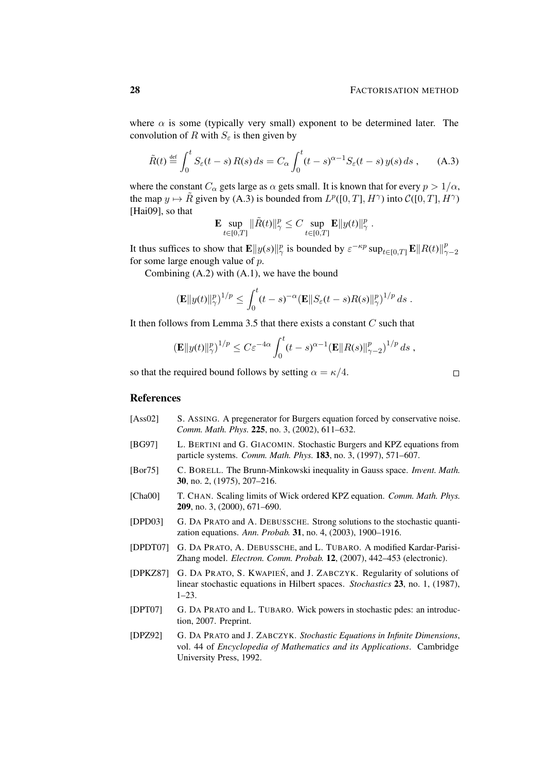where  $\alpha$  is some (typically very small) exponent to be determined later. The convolution of R with  $S_{\epsilon}$  is then given by

$$
\tilde{R}(t) \stackrel{\text{def}}{=} \int_0^t S_\varepsilon(t-s) R(s) ds = C_\alpha \int_0^t (t-s)^{\alpha-1} S_\varepsilon(t-s) y(s) ds , \quad (A.3)
$$

where the constant  $C_{\alpha}$  gets large as  $\alpha$  gets small. It is known that for every  $p > 1/\alpha$ , the map  $y \mapsto \tilde{R}$  given by (A.3) is bounded from  $L^p([0, T], H^\gamma)$  into  $\mathcal{C}([0, T], H^\gamma)$ [Hai09], so that

$$
\mathbf{E} \sup_{t \in [0,T]} \|\tilde{R}(t)\|_{\gamma}^p \leq C \sup_{t \in [0,T]} \mathbf{E} \|y(t)\|_{\gamma}^p.
$$

It thus suffices to show that  $\mathbf{E} ||y(s)||_{\gamma}^{p}$  is bounded by  $\varepsilon^{-\kappa p} \sup_{t \in [0,T]} \mathbf{E} ||R(t)||_{\gamma}^{p}$  $\gamma-2$ for some large enough value of  $p$ .

Combining (A.2) with (A.1), we have the bound

$$
\left(\mathbf{E}\|y(t)\|_{\gamma}^p\right)^{1/p} \leq \int_0^t (t-s)^{-\alpha} \left(\mathbf{E}\|S_{\varepsilon}(t-s)R(s)\|_{\gamma}^p\right)^{1/p} ds.
$$

It then follows from Lemma 3.5 that there exists a constant  $C$  such that

$$
(\mathbf{E}||y(t)||_{\gamma}^p)^{1/p} \leq C \varepsilon^{-4\alpha} \int_0^t (t-s)^{\alpha-1} (\mathbf{E}||R(s)||_{\gamma-2}^p)^{1/p} ds,
$$

so that the required bound follows by setting  $\alpha = \kappa/4$ .

$$
\qquad \qquad \Box
$$

#### References

- [Ass02] S. ASSING. A pregenerator for Burgers equation forced by conservative noise. *Comm. Math. Phys.* 225, no. 3, (2002), 611–632.
- [BG97] L. BERTINI and G. GIACOMIN. Stochastic Burgers and KPZ equations from particle systems. *Comm. Math. Phys.* 183, no. 3, (1997), 571–607.
- [Bor75] C. BORELL. The Brunn-Minkowski inequality in Gauss space. *Invent. Math.* 30, no. 2, (1975), 207–216.
- [Cha00] T. CHAN. Scaling limits of Wick ordered KPZ equation. *Comm. Math. Phys.* 209, no. 3, (2000), 671–690.
- [DPD03] G. DA PRATO and A. DEBUSSCHE. Strong solutions to the stochastic quantization equations. *Ann. Probab.* 31, no. 4, (2003), 1900–1916.
- [DPDT07] G. DA PRATO, A. DEBUSSCHE, and L. TUBARO. A modified Kardar-Parisi-Zhang model. *Electron. Comm. Probab.* 12, (2007), 442–453 (electronic).
- [DPKZ87] G. DA PRATO, S. KWAPIEN´, and J. ZABCZYK. Regularity of solutions of linear stochastic equations in Hilbert spaces. *Stochastics* 23, no. 1, (1987), 1–23.
- [DPT07] G. DA PRATO and L. TUBARO. Wick powers in stochastic pdes: an introduction, 2007. Preprint.
- [DPZ92] G. DA PRATO and J. ZABCZYK. *Stochastic Equations in Infinite Dimensions*, vol. 44 of *Encyclopedia of Mathematics and its Applications*. Cambridge University Press, 1992.